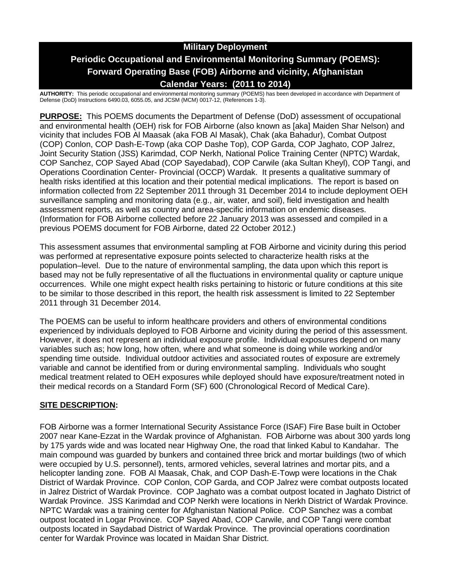# **Military Deployment Periodic Occupational and Environmental Monitoring Summary (POEMS): Forward Operating Base (FOB) Airborne and vicinity, Afghanistan Calendar Years: (2011 to 2014)**

**AUTHORITY:** This periodic occupational and environmental monitoring summary (POEMS) has been developed in accordance with Department of Defense (DoD) Instructions 6490.03, 6055.05, and JCSM (MCM) 0017-12, (References 1-3).

**PURPOSE:** This POEMS documents the Department of Defense (DoD) assessment of occupational and environmental health (OEH) risk for FOB Airborne (also known as [aka] Maiden Shar Nelson) and vicinity that includes FOB Al Maasak (aka FOB Al Masak), Chak (aka Bahadur), Combat Outpost (COP) Conlon, COP Dash-E-Towp (aka COP Dashe Top), COP Garda, COP Jaghato, COP Jalrez, Joint Security Station (JSS) Karimdad, COP Nerkh, National Police Training Center (NPTC) Wardak, COP Sanchez, COP Sayed Abad (COP Sayedabad), COP Carwile (aka Sultan Kheyl), COP Tangi, and Operations Coordination Center- Provincial (OCCP) Wardak. It presents a qualitative summary of health risks identified at this location and their potential medical implications. The report is based on information collected from 22 September 2011 through 31 December 2014 to include deployment OEH surveillance sampling and monitoring data (e.g., air, water, and soil), field investigation and health assessment reports, as well as country and area-specific information on endemic diseases. (Information for FOB Airborne collected before 22 January 2013 was assessed and compiled in a previous POEMS document for FOB Airborne, dated 22 October 2012.)

This assessment assumes that environmental sampling at FOB Airborne and vicinity during this period was performed at representative exposure points selected to characterize health risks at the population–level. Due to the nature of environmental sampling, the data upon which this report is based may not be fully representative of all the fluctuations in environmental quality or capture unique occurrences. While one might expect health risks pertaining to historic or future conditions at this site to be similar to those described in this report, the health risk assessment is limited to 22 September 2011 through 31 December 2014.

The POEMS can be useful to inform healthcare providers and others of environmental conditions experienced by individuals deployed to FOB Airborne and vicinity during the period of this assessment. However, it does not represent an individual exposure profile. Individual exposures depend on many variables such as; how long, how often, where and what someone is doing while working and/or spending time outside. Individual outdoor activities and associated routes of exposure are extremely variable and cannot be identified from or during environmental sampling. Individuals who sought medical treatment related to OEH exposures while deployed should have exposure/treatment noted in their medical records on a Standard Form (SF) 600 (Chronological Record of Medical Care).

# **SITE DESCRIPTION:**

FOB Airborne was a former International Security Assistance Force (ISAF) Fire Base built in October 2007 near Kane-Ezzat in the Wardak province of Afghanistan. FOB Airborne was about 300 yards long by 175 yards wide and was located near Highway One, the road that linked Kabul to Kandahar. The main compound was guarded by bunkers and contained three brick and mortar buildings (two of which were occupied by U.S. personnel), tents, armored vehicles, several latrines and mortar pits, and a helicopter landing zone. FOB Al Maasak, Chak, and COP Dash-E-Towp were locations in the Chak District of Wardak Province. COP Conlon, COP Garda, and COP Jalrez were combat outposts located in Jalrez District of Wardak Province. COP Jaghato was a combat outpost located in Jaghato District of Wardak Province. JSS Karimdad and COP Nerkh were locations in Nerkh District of Wardak Province. NPTC Wardak was a training center for Afghanistan National Police. COP Sanchez was a combat outpost located in Logar Province. COP Sayed Abad, COP Carwile, and COP Tangi were combat outposts located in Saydabad District of Wardak Province. The provincial operations coordination center for Wardak Province was located in Maidan Shar District.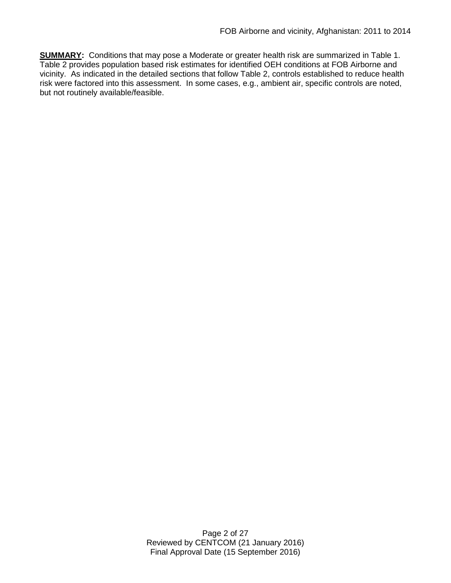**SUMMARY:** Conditions that may pose a Moderate or greater health risk are summarized in Table 1. Table 2 provides population based risk estimates for identified OEH conditions at FOB Airborne and vicinity. As indicated in the detailed sections that follow Table 2, controls established to reduce health risk were factored into this assessment. In some cases, e.g., ambient air, specific controls are noted, but not routinely available/feasible.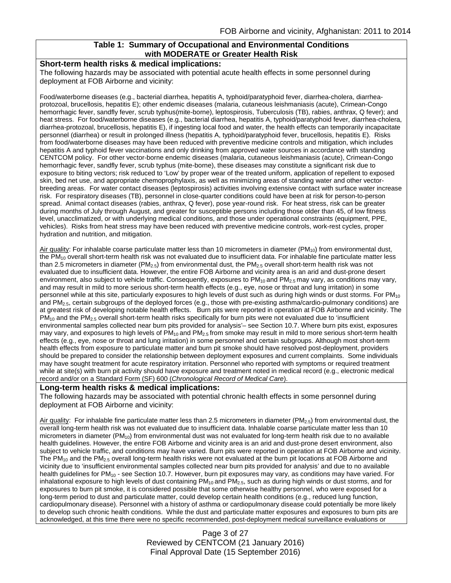# **Table 1: Summary of Occupational and Environmental Conditions with MODERATE or Greater Health Risk**

## **Short-term health risks & medical implications:**

The following hazards may be associated with potential acute health effects in some personnel during deployment at FOB Airborne and vicinity:

Food/waterborne diseases (e.g., bacterial diarrhea, hepatitis A, typhoid/paratyphoid fever, diarrhea-cholera, diarrheaprotozoal, brucellosis, hepatitis E); other endemic diseases (malaria, cutaneous leishmaniasis (acute), Crimean-Congo hemorrhagic fever, sandfly fever, scrub typhus(mite-borne), leptospirosis, Tuberculosis (TB), rabies, anthrax, Q fever); and heat stress. For food/waterborne diseases (e.g., bacterial diarrhea, hepatitis A, typhoid/paratyphoid fever, diarrhea-cholera, diarrhea-protozoal, brucellosis, hepatitis E), if ingesting local food and water, the health effects can temporarily incapacitate personnel (diarrhea) or result in prolonged illness (hepatitis A, typhoid/paratyphoid fever, brucellosis, hepatitis E). Risks from food/waterborne diseases may have been reduced with preventive medicine controls and mitigation, which includes hepatitis A and typhoid fever vaccinations and only drinking from approved water sources in accordance with standing CENTCOM policy. For other vector-borne endemic diseases (malaria, cutaneous leishmaniasis (acute), Crimean-Congo hemorrhagic fever, sandfly fever, scrub typhus (mite-borne), these diseases may constitute a significant risk due to exposure to biting vectors; risk reduced to 'Low' by proper wear of the treated uniform, application of repellent to exposed skin, bed net use, and appropriate chemoprophylaxis, as well as minimizing areas of standing water and other vectorbreeding areas. For water contact diseases (leptospirosis) activities involving extensive contact with surface water increase risk. For respiratory diseases (TB), personnel in close-quarter conditions could have been at risk for person-to-person spread. Animal contact diseases (rabies, anthrax, Q fever), pose year-round risk. For heat stress, risk can be greater during months of July through August, and greater for susceptible persons including those older than 45, of low fitness level, unacclimatized, or with underlying medical conditions, and those under operational constraints (equipment, PPE, vehicles). Risks from heat stress may have been reduced with preventive medicine controls, work-rest cycles, proper hydration and nutrition, and mitigation.

Air quality: For inhalable coarse particulate matter less than 10 micrometers in diameter (PM<sub>10</sub>) from environmental dust, the PM<sub>10</sub> overall short-term health risk was not evaluated due to insufficient data. For inhalable fine particulate matter less than 2.5 micrometers in diameter ( $PM_{2.5}$ ) from environmental dust, the  $PM_{2.5}$  overall short-term health risk was not evaluated due to insufficient data. However, the entire FOB Airborne and vicinity area is an arid and dust-prone desert environment, also subject to vehicle traffic. Consequently, exposures to  $PM_{10}$  and  $PM_{2.5}$  may vary, as conditions may vary, and may result in mild to more serious short-term health effects (e.g., eye, nose or throat and lung irritation) in some personnel while at this site, particularly exposures to high levels of dust such as during high winds or dust storms. For PM<sub>10</sub> and PM2.5, certain subgroups of the deployed forces (e.g., those with pre-existing asthma/cardio-pulmonary conditions) are at greatest risk of developing notable health effects. Burn pits were reported in operation at FOB Airborne and vicinity. The  $PM_{10}$  and the PM<sub>2.5</sub> overall short-term health risks specifically for burn pits were not evaluated due to 'insufficient environmental samples collected near burn pits provided for analysis'– see Section 10.7. Where burn pits exist, exposures may vary, and exposures to high levels of  $PM_{10}$  and  $PM_{2.5}$  from smoke may result in mild to more serious short-term health effects (e.g., eye, nose or throat and lung irritation) in some personnel and certain subgroups. Although most short-term health effects from exposure to particulate matter and burn pit smoke should have resolved post-deployment, providers should be prepared to consider the relationship between deployment exposures and current complaints. Some individuals may have sought treatment for acute respiratory irritation. Personnel who reported with symptoms or required treatment while at site(s) with burn pit activity should have exposure and treatment noted in medical record (e.g., electronic medical record and/or on a Standard Form (SF) 600 (*Chronological Record of Medical Care*).

#### **Long-term health risks & medical implications:**

The following hazards may be associated with potential chronic health effects in some personnel during deployment at FOB Airborne and vicinity:

Air quality: For inhalable fine particulate matter less than 2.5 micrometers in diameter ( $PM_{2.5}$ ) from environmental dust, the overall long-term health risk was not evaluated due to insufficient data. Inhalable coarse particulate matter less than 10 micrometers in diameter ( $PM_{10}$ ) from environmental dust was not evaluated for long-term health risk due to no available health guidelines. However, the entire FOB Airborne and vicinity area is an arid and dust-prone desert environment, also subject to vehicle traffic, and conditions may have varied. Burn pits were reported in operation at FOB Airborne and vicinity. The PM<sub>10</sub> and the PM<sub>2.5</sub> overall long-term health risks were not evaluated at the burn pit locations at FOB Airborne and vicinity due to 'insufficient environmental samples collected near burn pits provided for analysis' and due to no available health guidelines for PM<sub>10</sub> - see Section 10.7. However, burn pit exposures may vary, as conditions may have varied. For inhalational exposure to high levels of dust containing PM $_{10}$  and PM $_{2.5}$ , such as during high winds or dust storms, and for exposures to burn pit smoke, it is considered possible that some otherwise healthy personnel, who were exposed for a long-term period to dust and particulate matter, could develop certain health conditions (e.g., reduced lung function, cardiopulmonary disease). Personnel with a history of asthma or cardiopulmonary disease could potentially be more likely to develop such chronic health conditions. While the dust and particulate matter exposures and exposures to burn pits are acknowledged, at this time there were no specific recommended, post-deployment medical surveillance evaluations or

> Page 3 of 27 Reviewed by CENTCOM (21 January 2016) Final Approval Date (15 September 2016)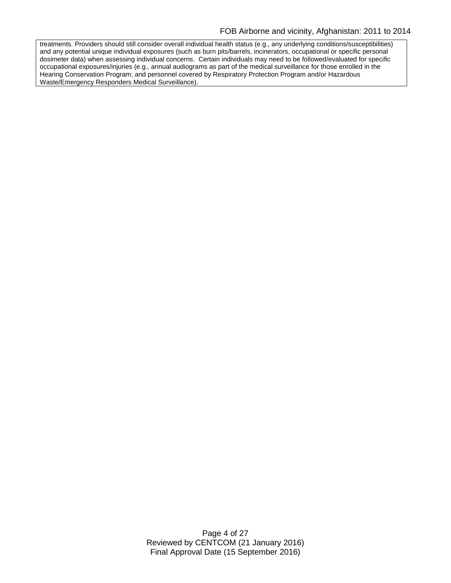treatments. Providers should still consider overall individual health status (e.g., any underlying conditions/susceptibilities) and any potential unique individual exposures (such as burn pits/barrels, incinerators, occupational or specific personal dosimeter data) when assessing individual concerns. Certain individuals may need to be followed/evaluated for specific occupational exposures/injuries (e.g., annual audiograms as part of the medical surveillance for those enrolled in the Hearing Conservation Program; and personnel covered by Respiratory Protection Program and/or Hazardous Waste/Emergency Responders Medical Surveillance).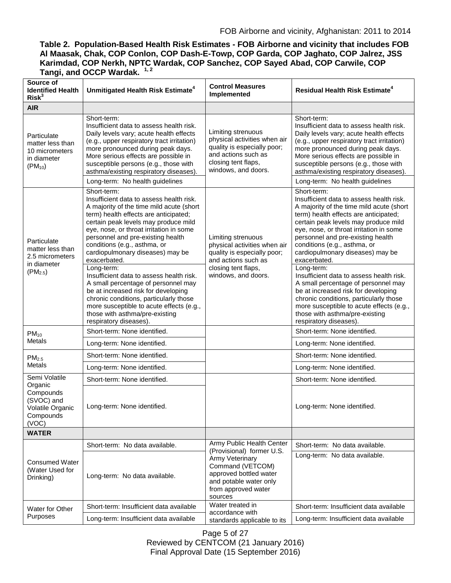**Table 2. Population-Based Health Risk Estimates - FOB Airborne and vicinity that includes FOB Al Maasak, Chak, COP Conlon, COP Dash-E-Towp, COP Garda, COP Jaghato, COP Jalrez, JSS Karimdad, COP Nerkh, NPTC Wardak, COP Sanchez, COP Sayed Abad, COP Carwile, COP Tangi, and OCCP Wardak. 1, 2**

| Source of<br><b>Identified Health</b><br>Risk <sup>3</sup>                        | Unmitigated Health Risk Estimate <sup>4</sup>                                                                                                                                                                                                                                                                                                                                                                                                                                                                                                                                                                                                      | <b>Control Measures</b><br>Implemented                                                                                                                 | <b>Residual Health Risk Estimate<sup>4</sup></b>                                                                                                                                                                                                                                                                                                                                                                                                                                                                                                                                                                                                   |
|-----------------------------------------------------------------------------------|----------------------------------------------------------------------------------------------------------------------------------------------------------------------------------------------------------------------------------------------------------------------------------------------------------------------------------------------------------------------------------------------------------------------------------------------------------------------------------------------------------------------------------------------------------------------------------------------------------------------------------------------------|--------------------------------------------------------------------------------------------------------------------------------------------------------|----------------------------------------------------------------------------------------------------------------------------------------------------------------------------------------------------------------------------------------------------------------------------------------------------------------------------------------------------------------------------------------------------------------------------------------------------------------------------------------------------------------------------------------------------------------------------------------------------------------------------------------------------|
| <b>AIR</b>                                                                        |                                                                                                                                                                                                                                                                                                                                                                                                                                                                                                                                                                                                                                                    |                                                                                                                                                        |                                                                                                                                                                                                                                                                                                                                                                                                                                                                                                                                                                                                                                                    |
| Particulate<br>matter less than<br>10 micrometers<br>in diameter<br>$(PM_{10})$   | Short-term:<br>Insufficient data to assess health risk.<br>Daily levels vary; acute health effects<br>(e.g., upper respiratory tract irritation)<br>more pronounced during peak days.<br>More serious effects are possible in<br>susceptible persons (e.g., those with<br>asthma/existing respiratory diseases).<br>Long-term: No health guidelines                                                                                                                                                                                                                                                                                                | Limiting strenuous<br>physical activities when air<br>quality is especially poor;<br>and actions such as<br>closing tent flaps,<br>windows, and doors. | Short-term:<br>Insufficient data to assess health risk.<br>Daily levels vary; acute health effects<br>(e.g., upper respiratory tract irritation)<br>more pronounced during peak days.<br>More serious effects are possible in<br>susceptible persons (e.g., those with<br>asthma/existing respiratory diseases).<br>Long-term: No health guidelines                                                                                                                                                                                                                                                                                                |
| Particulate<br>matter less than<br>2.5 micrometers<br>in diameter<br>$(PM_{2.5})$ | Short-term:<br>Insufficient data to assess health risk.<br>A majority of the time mild acute (short<br>term) health effects are anticipated;<br>certain peak levels may produce mild<br>eye, nose, or throat irritation in some<br>personnel and pre-existing health<br>conditions (e.g., asthma, or<br>cardiopulmonary diseases) may be<br>exacerbated.<br>Long-term:<br>Insufficient data to assess health risk.<br>A small percentage of personnel may<br>be at increased risk for developing<br>chronic conditions, particularly those<br>more susceptible to acute effects (e.g.,<br>those with asthma/pre-existing<br>respiratory diseases). | Limiting strenuous<br>physical activities when air<br>quality is especially poor;<br>and actions such as<br>closing tent flaps,<br>windows, and doors. | Short-term:<br>Insufficient data to assess health risk.<br>A majority of the time mild acute (short<br>term) health effects are anticipated;<br>certain peak levels may produce mild<br>eye, nose, or throat irritation in some<br>personnel and pre-existing health<br>conditions (e.g., asthma, or<br>cardiopulmonary diseases) may be<br>exacerbated.<br>Long-term:<br>Insufficient data to assess health risk.<br>A small percentage of personnel may<br>be at increased risk for developing<br>chronic conditions, particularly those<br>more susceptible to acute effects (e.g.,<br>those with asthma/pre-existing<br>respiratory diseases). |
| $PM_{10}$                                                                         | Short-term: None identified.                                                                                                                                                                                                                                                                                                                                                                                                                                                                                                                                                                                                                       |                                                                                                                                                        | Short-term: None identified.                                                                                                                                                                                                                                                                                                                                                                                                                                                                                                                                                                                                                       |
| <b>Metals</b>                                                                     | Long-term: None identified.                                                                                                                                                                                                                                                                                                                                                                                                                                                                                                                                                                                                                        |                                                                                                                                                        | Long-term: None identified.                                                                                                                                                                                                                                                                                                                                                                                                                                                                                                                                                                                                                        |
| PM <sub>2.5</sub>                                                                 | Short-term: None identified.                                                                                                                                                                                                                                                                                                                                                                                                                                                                                                                                                                                                                       |                                                                                                                                                        | Short-term: None identified.                                                                                                                                                                                                                                                                                                                                                                                                                                                                                                                                                                                                                       |
| Metals                                                                            | Long-term: None identified.                                                                                                                                                                                                                                                                                                                                                                                                                                                                                                                                                                                                                        |                                                                                                                                                        | Long-term: None identified.                                                                                                                                                                                                                                                                                                                                                                                                                                                                                                                                                                                                                        |
| Semi Volatile<br>Organic                                                          | Short-term: None identified.                                                                                                                                                                                                                                                                                                                                                                                                                                                                                                                                                                                                                       |                                                                                                                                                        | Short-term: None identified.                                                                                                                                                                                                                                                                                                                                                                                                                                                                                                                                                                                                                       |
| Compounds<br>(SVOC) and<br>Volatile Organic<br>Compounds<br>(VOC)                 | Long-term: None identified.                                                                                                                                                                                                                                                                                                                                                                                                                                                                                                                                                                                                                        |                                                                                                                                                        | Long-term: None identified.                                                                                                                                                                                                                                                                                                                                                                                                                                                                                                                                                                                                                        |
| <b>WATER</b>                                                                      |                                                                                                                                                                                                                                                                                                                                                                                                                                                                                                                                                                                                                                                    |                                                                                                                                                        |                                                                                                                                                                                                                                                                                                                                                                                                                                                                                                                                                                                                                                                    |
| <b>Consumed Water</b><br>(Water Used for<br>Drinking)                             | Short-term: No data available.                                                                                                                                                                                                                                                                                                                                                                                                                                                                                                                                                                                                                     | Army Public Health Center<br>(Provisional) former U.S.                                                                                                 | Short-term: No data available.                                                                                                                                                                                                                                                                                                                                                                                                                                                                                                                                                                                                                     |
|                                                                                   | Long-term: No data available.                                                                                                                                                                                                                                                                                                                                                                                                                                                                                                                                                                                                                      | Army Veterinary<br>Command (VETCOM)<br>approved bottled water<br>and potable water only<br>from approved water<br>sources                              | Long-term: No data available.                                                                                                                                                                                                                                                                                                                                                                                                                                                                                                                                                                                                                      |
| Water for Other<br>Purposes                                                       | Short-term: Insufficient data available                                                                                                                                                                                                                                                                                                                                                                                                                                                                                                                                                                                                            | Water treated in<br>accordance with<br>standards applicable to its                                                                                     | Short-term: Insufficient data available                                                                                                                                                                                                                                                                                                                                                                                                                                                                                                                                                                                                            |
|                                                                                   | Long-term: Insufficient data available                                                                                                                                                                                                                                                                                                                                                                                                                                                                                                                                                                                                             |                                                                                                                                                        | Long-term: Insufficient data available                                                                                                                                                                                                                                                                                                                                                                                                                                                                                                                                                                                                             |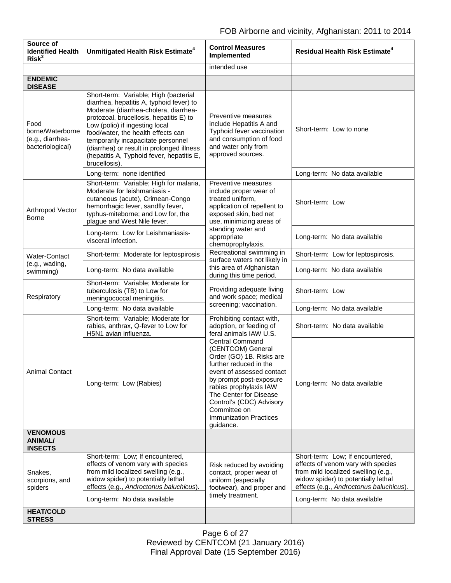| Source of<br><b>Identified Health</b><br>Risk <sup>3</sup>       | Unmitigated Health Risk Estimate <sup>4</sup>                                                                                                                                                                                                                                                                                                                                                  | <b>Control Measures</b><br>Implemented                                                                                                                                                                                                                                                                  | <b>Residual Health Risk Estimate<sup>4</sup></b>                                                                                                                                                |
|------------------------------------------------------------------|------------------------------------------------------------------------------------------------------------------------------------------------------------------------------------------------------------------------------------------------------------------------------------------------------------------------------------------------------------------------------------------------|---------------------------------------------------------------------------------------------------------------------------------------------------------------------------------------------------------------------------------------------------------------------------------------------------------|-------------------------------------------------------------------------------------------------------------------------------------------------------------------------------------------------|
|                                                                  |                                                                                                                                                                                                                                                                                                                                                                                                | intended use                                                                                                                                                                                                                                                                                            |                                                                                                                                                                                                 |
| <b>ENDEMIC</b><br><b>DISEASE</b>                                 |                                                                                                                                                                                                                                                                                                                                                                                                |                                                                                                                                                                                                                                                                                                         |                                                                                                                                                                                                 |
| Food<br>borne/Waterborne<br>(e.g., diarrhea-<br>bacteriological) | Short-term: Variable; High (bacterial<br>diarrhea, hepatitis A, typhoid fever) to<br>Moderate (diarrhea-cholera, diarrhea-<br>protozoal, brucellosis, hepatitis E) to<br>Low (polio) if ingesting local<br>food/water, the health effects can<br>temporarily incapacitate personnel<br>(diarrhea) or result in prolonged illness<br>(hepatitis A, Typhoid fever, hepatitis E,<br>brucellosis). | Preventive measures<br>include Hepatitis A and<br>Typhoid fever vaccination<br>and consumption of food<br>and water only from<br>approved sources.                                                                                                                                                      | Short-term: Low to none                                                                                                                                                                         |
|                                                                  | Long-term: none identified                                                                                                                                                                                                                                                                                                                                                                     |                                                                                                                                                                                                                                                                                                         | Long-term: No data available                                                                                                                                                                    |
| Arthropod Vector<br><b>Borne</b>                                 | Short-term: Variable; High for malaria,<br>Moderate for leishmaniasis -<br>cutaneous (acute), Crimean-Congo<br>hemorrhagic fever, sandfly fever,<br>typhus-miteborne; and Low for, the<br>plague and West Nile fever.                                                                                                                                                                          | Preventive measures<br>include proper wear of<br>treated uniform,<br>application of repellent to<br>exposed skin, bed net<br>use, minimizing areas of<br>standing water and<br>appropriate<br>chemoprophylaxis.                                                                                         | Short-term: Low                                                                                                                                                                                 |
|                                                                  | Long-term: Low for Leishmaniasis-<br>visceral infection.                                                                                                                                                                                                                                                                                                                                       |                                                                                                                                                                                                                                                                                                         | Long-term: No data available                                                                                                                                                                    |
| Water-Contact                                                    | Short-term: Moderate for leptospirosis                                                                                                                                                                                                                                                                                                                                                         | Recreational swimming in<br>surface waters not likely in                                                                                                                                                                                                                                                | Short-term: Low for leptospirosis.                                                                                                                                                              |
| (e.g., wading,<br>swimming)                                      | Long-term: No data available                                                                                                                                                                                                                                                                                                                                                                   | this area of Afghanistan<br>during this time period.                                                                                                                                                                                                                                                    | Long-term: No data available                                                                                                                                                                    |
| Respiratory                                                      | Short-term: Variable; Moderate for<br>tuberculosis (TB) to Low for<br>meningococcal meningitis.                                                                                                                                                                                                                                                                                                | Providing adequate living<br>and work space; medical<br>screening; vaccination.                                                                                                                                                                                                                         | Short-term: Low                                                                                                                                                                                 |
|                                                                  | Long-term: No data available                                                                                                                                                                                                                                                                                                                                                                   |                                                                                                                                                                                                                                                                                                         | Long-term: No data available                                                                                                                                                                    |
| <b>Animal Contact</b><br><b>VENOMOUS</b>                         | Short-term: Variable; Moderate for<br>rabies, anthrax, Q-fever to Low for<br>H5N1 avian influenza.                                                                                                                                                                                                                                                                                             | Prohibiting contact with,<br>adoption, or feeding of<br>feral animals IAW U.S.                                                                                                                                                                                                                          | Short-term: No data available                                                                                                                                                                   |
|                                                                  | Long-term: Low (Rabies)                                                                                                                                                                                                                                                                                                                                                                        | <b>Central Command</b><br>(CENTCOM) General<br>Order (GO) 1B. Risks are<br>further reduced in the<br>event of assessed contact<br>by prompt post-exposure<br>rabies prophylaxis IAW<br>The Center for Disease<br>Control's (CDC) Advisory<br>Committee on<br><b>Immunization Practices</b><br>guidance. | Long-term: No data available                                                                                                                                                                    |
| ANIMAL/<br><b>INSECTS</b>                                        |                                                                                                                                                                                                                                                                                                                                                                                                |                                                                                                                                                                                                                                                                                                         |                                                                                                                                                                                                 |
| Snakes,<br>scorpions, and<br>spiders                             | Short-term: Low; If encountered,<br>effects of venom vary with species<br>from mild localized swelling (e.g.,<br>widow spider) to potentially lethal<br>effects (e.g., Androctonus baluchicus).                                                                                                                                                                                                | Risk reduced by avoiding<br>contact, proper wear of<br>uniform (especially<br>footwear), and proper and<br>timely treatment.                                                                                                                                                                            | Short-term: Low; If encountered,<br>effects of venom vary with species<br>from mild localized swelling (e.g.,<br>widow spider) to potentially lethal<br>effects (e.g., Androctonus baluchicus). |
|                                                                  | Long-term: No data available                                                                                                                                                                                                                                                                                                                                                                   |                                                                                                                                                                                                                                                                                                         | Long-term: No data available                                                                                                                                                                    |
| <b>HEAT/COLD</b><br><b>STRESS</b>                                |                                                                                                                                                                                                                                                                                                                                                                                                |                                                                                                                                                                                                                                                                                                         |                                                                                                                                                                                                 |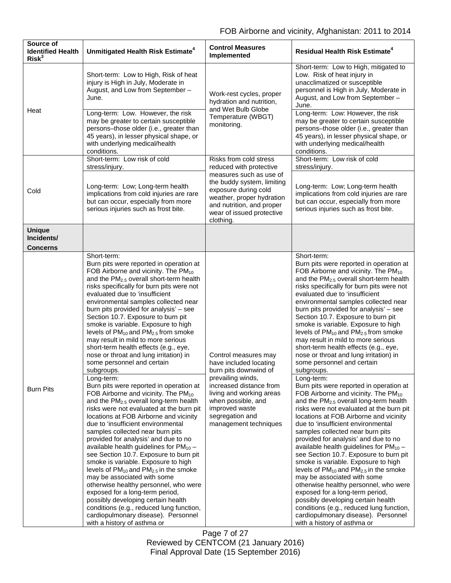| Source of<br><b>Identified Health</b><br>Risk <sup>3</sup> | Unmitigated Health Risk Estimate <sup>4</sup>                                                                                                                                                                                                                                                                                                                                                                                                                                                                                                                                                                                                                                                                                                                                                                         | <b>Control Measures</b><br>Implemented                                                                                                                                                                                                 | <b>Residual Health Risk Estimate<sup>4</sup></b>                                                                                                                                                                                                                                                                                                                                                                                                                                                                                                                                                                                                                                                                                                                                                                      |
|------------------------------------------------------------|-----------------------------------------------------------------------------------------------------------------------------------------------------------------------------------------------------------------------------------------------------------------------------------------------------------------------------------------------------------------------------------------------------------------------------------------------------------------------------------------------------------------------------------------------------------------------------------------------------------------------------------------------------------------------------------------------------------------------------------------------------------------------------------------------------------------------|----------------------------------------------------------------------------------------------------------------------------------------------------------------------------------------------------------------------------------------|-----------------------------------------------------------------------------------------------------------------------------------------------------------------------------------------------------------------------------------------------------------------------------------------------------------------------------------------------------------------------------------------------------------------------------------------------------------------------------------------------------------------------------------------------------------------------------------------------------------------------------------------------------------------------------------------------------------------------------------------------------------------------------------------------------------------------|
| Heat                                                       | Short-term: Low to High, Risk of heat<br>injury is High in July, Moderate in<br>August, and Low from September -<br>June.                                                                                                                                                                                                                                                                                                                                                                                                                                                                                                                                                                                                                                                                                             | Work-rest cycles, proper<br>hydration and nutrition,<br>and Wet Bulb Globe<br>Temperature (WBGT)<br>monitoring.                                                                                                                        | Short-term: Low to High, mitigated to<br>Low. Risk of heat injury in<br>unacclimatized or susceptible<br>personnel is High in July, Moderate in<br>August, and Low from September -<br>June.                                                                                                                                                                                                                                                                                                                                                                                                                                                                                                                                                                                                                          |
|                                                            | Long-term: Low. However, the risk<br>may be greater to certain susceptible<br>persons-those older (i.e., greater than<br>45 years), in lesser physical shape, or<br>with underlying medical/health<br>conditions.                                                                                                                                                                                                                                                                                                                                                                                                                                                                                                                                                                                                     |                                                                                                                                                                                                                                        | Long-term: Low: However, the risk<br>may be greater to certain susceptible<br>persons-those older (i.e., greater than<br>45 years), in lesser physical shape, or<br>with underlying medical/health<br>conditions.                                                                                                                                                                                                                                                                                                                                                                                                                                                                                                                                                                                                     |
| Cold                                                       | Short-term: Low risk of cold<br>stress/injury.                                                                                                                                                                                                                                                                                                                                                                                                                                                                                                                                                                                                                                                                                                                                                                        | Risks from cold stress<br>reduced with protective<br>measures such as use of<br>the buddy system, limiting<br>exposure during cold<br>weather, proper hydration<br>and nutrition, and proper<br>wear of issued protective<br>clothing. | Short-term: Low risk of cold<br>stress/injury.                                                                                                                                                                                                                                                                                                                                                                                                                                                                                                                                                                                                                                                                                                                                                                        |
|                                                            | Long-term: Low; Long-term health<br>implications from cold injuries are rare<br>but can occur, especially from more<br>serious injuries such as frost bite.                                                                                                                                                                                                                                                                                                                                                                                                                                                                                                                                                                                                                                                           |                                                                                                                                                                                                                                        | Long-term: Low; Long-term health<br>implications from cold injuries are rare<br>but can occur, especially from more<br>serious injuries such as frost bite.                                                                                                                                                                                                                                                                                                                                                                                                                                                                                                                                                                                                                                                           |
| <b>Unique</b><br>Incidents/<br><b>Concerns</b>             |                                                                                                                                                                                                                                                                                                                                                                                                                                                                                                                                                                                                                                                                                                                                                                                                                       |                                                                                                                                                                                                                                        |                                                                                                                                                                                                                                                                                                                                                                                                                                                                                                                                                                                                                                                                                                                                                                                                                       |
|                                                            | Short-term:<br>Burn pits were reported in operation at<br>FOB Airborne and vicinity. The PM <sub>10</sub><br>and the PM <sub>2.5</sub> overall short-term health<br>risks specifically for burn pits were not<br>evaluated due to 'insufficient<br>environmental samples collected near<br>burn pits provided for analysis' - see<br>Section 10.7. Exposure to burn pit<br>smoke is variable. Exposure to high<br>levels of $PM_{10}$ and $PM_{2.5}$ from smoke<br>may result in mild to more serious<br>short-term health effects (e.g., eye,<br>nose or throat and lung irritation) in<br>some personnel and certain<br>subgroups.                                                                                                                                                                                  | Control measures may<br>have included locating<br>burn pits downwind of                                                                                                                                                                | Short-term:<br>Burn pits were reported in operation at<br>FOB Airborne and vicinity. The PM <sub>10</sub><br>and the PM <sub>2.5</sub> overall short-term health<br>risks specifically for burn pits were not<br>evaluated due to 'insufficient<br>environmental samples collected near<br>burn pits provided for analysis' - see<br>Section 10.7. Exposure to burn pit<br>smoke is variable. Exposure to high<br>levels of PM <sub>10</sub> and PM <sub>2.5</sub> from smoke<br>may result in mild to more serious<br>short-term health effects (e.g., eye,<br>nose or throat and lung irritation) in<br>some personnel and certain<br>subgroups.                                                                                                                                                                    |
| <b>Burn Pits</b>                                           | Long-term:<br>Burn pits were reported in operation at<br>FOB Airborne and vicinity. The $PM_{10}$<br>and the PM <sub>2.5</sub> overall long-term health<br>risks were not evaluated at the burn pit<br>locations at FOB Airborne and vicinity<br>due to 'insufficient environmental<br>samples collected near burn pits<br>provided for analysis' and due to no<br>available health guidelines for $PM_{10}$ -<br>see Section 10.7. Exposure to burn pit<br>smoke is variable. Exposure to high<br>levels of $PM_{10}$ and $PM_{2.5}$ in the smoke<br>may be associated with some<br>otherwise healthy personnel, who were<br>exposed for a long-term period,<br>possibly developing certain health<br>conditions (e.g., reduced lung function,<br>cardiopulmonary disease). Personnel<br>with a history of asthma or | prevailing winds,<br>increased distance from<br>living and working areas<br>when possible, and<br>improved waste<br>segregation and<br>management techniques                                                                           | Long-term:<br>Burn pits were reported in operation at<br>FOB Airborne and vicinity. The $PM_{10}$<br>and the PM <sub>2.5</sub> overall long-term health<br>risks were not evaluated at the burn pit<br>locations at FOB Airborne and vicinity<br>due to 'insufficient environmental<br>samples collected near burn pits<br>provided for analysis' and due to no<br>available health guidelines for $PM_{10}$ -<br>see Section 10.7. Exposure to burn pit<br>smoke is variable. Exposure to high<br>levels of $PM_{10}$ and $PM_{2.5}$ in the smoke<br>may be associated with some<br>otherwise healthy personnel, who were<br>exposed for a long-term period,<br>possibly developing certain health<br>conditions (e.g., reduced lung function,<br>cardiopulmonary disease). Personnel<br>with a history of asthma or |

Page 7 of 27 Reviewed by CENTCOM (21 January 2016) Final Approval Date (15 September 2016)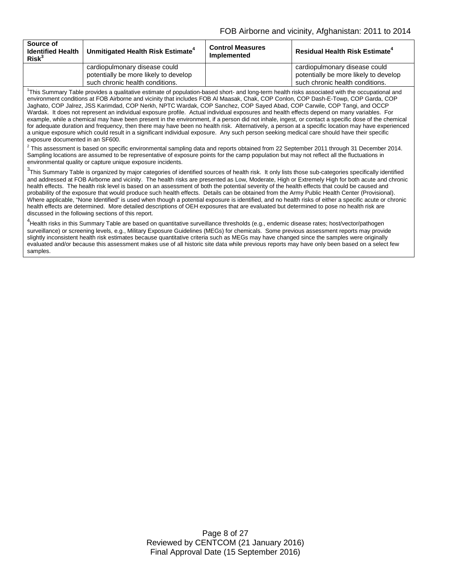| Source of<br><b>Identified Health</b><br>Risk <sup>3</sup> | Unmitigated Health Risk Estimate <sup>4</sup>                                                             | <b>Control Measures</b><br><b>Implemented</b> | <b>Residual Health Risk Estimate<sup>4</sup></b>                                                          |
|------------------------------------------------------------|-----------------------------------------------------------------------------------------------------------|-----------------------------------------------|-----------------------------------------------------------------------------------------------------------|
|                                                            | cardiopulmonary disease could<br>potentially be more likely to develop<br>such chronic health conditions. |                                               | cardiopulmonary disease could<br>potentially be more likely to develop<br>such chronic health conditions. |

1 This Summary Table provides a qualitative estimate of population-based short- and long-term health risks associated with the occupational and environment conditions at FOB Airborne and vicinity that includes FOB Al Maasak, Chak, COP Conlon, COP Dash-E-Towp, COP Garda, COP Jaghato, COP Jalrez, JSS Karimdad, COP Nerkh, NPTC Wardak, COP Sanchez, COP Sayed Abad, COP Carwile, COP Tangi, and OCCP Wardak. It does not represent an individual exposure profile. Actual individual exposures and health effects depend on many variables. For example, while a chemical may have been present in the environment, if a person did not inhale, ingest, or contact a specific dose of the chemical for adequate duration and frequency, then there may have been no health risk. Alternatively, a person at a specific location may have experienced a unique exposure which could result in a significant individual exposure. Any such person seeking medical care should have their specific exposure documented in an SF600.

 $^2$  This assessment is based on specific environmental sampling data and reports obtained from 22 September 2011 through 31 December 2014. Sampling locations are assumed to be representative of exposure points for the camp population but may not reflect all the fluctuations in environmental quality or capture unique exposure incidents.

 $^3$ This Summary Table is organized by major categories of identified sources of health risk. It only lists those sub-categories specifically identified and addressed at FOB Airborne and vicinity. The health risks are presented as Low, Moderate, High or Extremely High for both acute and chronic health effects. The health risk level is based on an assessment of both the potential severity of the health effects that could be caused and probability of the exposure that would produce such health effects. Details can be obtained from the Army Public Health Center (Provisional). Where applicable, "None Identified" is used when though a potential exposure is identified, and no health risks of either a specific acute or chronic health effects are determined. More detailed descriptions of OEH exposures that are evaluated but determined to pose no health risk are discussed in the following sections of this report.

4 Health risks in this Summary Table are based on quantitative surveillance thresholds (e.g., endemic disease rates; host/vector/pathogen surveillance) or screening levels, e.g., Military Exposure Guidelines (MEGs) for chemicals. Some previous assessment reports may provide slightly inconsistent health risk estimates because quantitative criteria such as MEGs may have changed since the samples were originally evaluated and/or because this assessment makes use of all historic site data while previous reports may have only been based on a select few samples.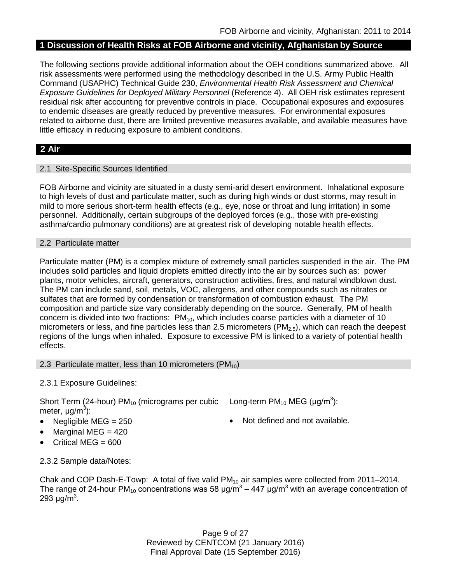# **1 Discussion of Health Risks at FOB Airborne and vicinity, Afghanistan by Source**

The following sections provide additional information about the OEH conditions summarized above. All risk assessments were performed using the methodology described in the U.S. Army Public Health Command (USAPHC) Technical Guide 230, *Environmental Health Risk Assessment and Chemical Exposure Guidelines for Deployed Military Personnel* (Reference 4). All OEH risk estimates represent residual risk after accounting for preventive controls in place. Occupational exposures and exposures to endemic diseases are greatly reduced by preventive measures. For environmental exposures related to airborne dust, there are limited preventive measures available, and available measures have little efficacy in reducing exposure to ambient conditions.

# **2 Air**

# 2.1 Site-Specific Sources Identified

FOB Airborne and vicinity are situated in a dusty semi-arid desert environment. Inhalational exposure to high levels of dust and particulate matter, such as during high winds or dust storms, may result in mild to more serious short-term health effects (e.g., eye, nose or throat and lung irritation) in some personnel. Additionally, certain subgroups of the deployed forces (e.g., those with pre-existing asthma/cardio pulmonary conditions) are at greatest risk of developing notable health effects.

## 2.2 Particulate matter

Particulate matter (PM) is a complex mixture of extremely small particles suspended in the air. The PM includes solid particles and liquid droplets emitted directly into the air by sources such as: power plants, motor vehicles, aircraft, generators, construction activities, fires, and natural windblown dust. The PM can include sand, soil, metals, VOC, allergens, and other compounds such as nitrates or sulfates that are formed by condensation or transformation of combustion exhaust. The PM composition and particle size vary considerably depending on the source. Generally, PM of health concern is divided into two fractions:  $PM_{10}$ , which includes coarse particles with a diameter of 10 micrometers or less, and fine particles less than 2.5 micrometers ( $PM<sub>2.5</sub>$ ), which can reach the deepest regions of the lungs when inhaled. Exposure to excessive PM is linked to a variety of potential health effects.

## 2.3 Particulate matter, less than 10 micrometers  $(PM_{10})$

## 2.3.1 Exposure Guidelines:

Short Term (24-hour) PM<sub>10</sub> (micrograms per cubic Long-term PM<sub>10</sub> MEG (µg/m<sup>3</sup>): meter, μg/m<sup>3</sup>):

- 
- Marginal MEG  $= 420$
- Critical MEG = 600
- 
- Negligible MEG = 250 Not defined and not available.

2.3.2 Sample data/Notes:

Chak and COP Dash-E-Towp: A total of five valid  $PM_{10}$  air samples were collected from 2011–2014. The range of 24-hour PM<sub>10</sub> concentrations was 58  $\mu$ g/m<sup>3</sup> – 447  $\mu$ g/m<sup>3</sup> with an average concentration of 293 μg/m $^3$ .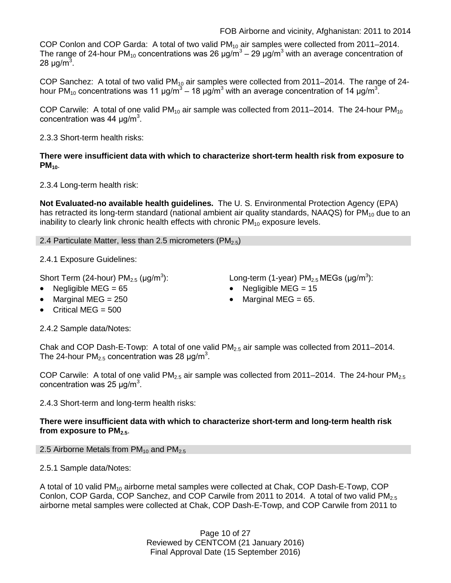COP Conlon and COP Garda: A total of two valid PM<sub>10</sub> air samples were collected from 2011–2014. The range of 24-hour PM<sub>10</sub> concentrations was 26  $\mu q/m^3 - 29 \mu q/m^3$  with an average concentration of 28 μg/m $^3\!.$ 

COP Sanchez: A total of two valid PM<sub>10</sub> air samples were collected from 2011–2014. The range of 24hour PM<sub>10</sub> concentrations was 11 μg/m $^3$  – 18 μg/m $^3$  with an average concentration of 14 μg/m $^3$ .

COP Carwile: A total of one valid  $PM_{10}$  air sample was collected from 2011–2014. The 24-hour PM<sub>10</sub> concentration was 44  $\mu$ g/m<sup>3</sup>.

2.3.3 Short-term health risks:

**There were insufficient data with which to characterize short-term health risk from exposure to PM**<sub>10</sub>.

2.3.4 Long-term health risk:

**Not Evaluated-no available health guidelines.** The U. S. Environmental Protection Agency (EPA) has retracted its long-term standard (national ambient air quality standards, NAAQS) for  $PM_{10}$  due to an inability to clearly link chronic health effects with chronic  $PM_{10}$  exposure levels.

2.4 Particulate Matter, less than 2.5 micrometers (PM<sub>2.5</sub>)

2.4.1 Exposure Guidelines:

Short Term (24-hour)  $PM_{2.5}$  ( $\mu$ g/m<sup>3</sup>):

- 
- Critical MEG  $= 500$

):  $\blacksquare$  Long-term (1-year) PM $_{2.5}$  MEGs (µg/m $^3$ ):

- Negligible MEG = 65 Negligible MEG = 15
- Marginal MEG =  $250$  Marginal MEG =  $65$ .
- 2.4.2 Sample data/Notes:

Chak and COP Dash-E-Towp: A total of one valid  $PM<sub>2.5</sub>$  air sample was collected from 2011–2014. The 24-hour PM<sub>2.5</sub> concentration was 28  $\mu$ g/m<sup>3</sup>.

COP Carwile: A total of one valid  $PM_{2.5}$  air sample was collected from 2011–2014. The 24-hour  $PM_{2.5}$ concentration was 25  $\mu$ g/m<sup>3</sup>.

2.4.3 Short-term and long-term health risks:

# **There were insufficient data with which to characterize short-term and long-term health risk**  from exposure to PM<sub>2.5</sub>.

- 2.5 Airborne Metals from  $PM_{10}$  and  $PM_{2.5}$
- 2.5.1 Sample data/Notes:

A total of 10 valid PM<sub>10</sub> airborne metal samples were collected at Chak, COP Dash-E-Towp, COP Conlon, COP Garda, COP Sanchez, and COP Carwile from 2011 to 2014. A total of two valid  $PM_{2.5}$ airborne metal samples were collected at Chak, COP Dash-E-Towp, and COP Carwile from 2011 to

> Page 10 of 27 Reviewed by CENTCOM (21 January 2016) Final Approval Date (15 September 2016)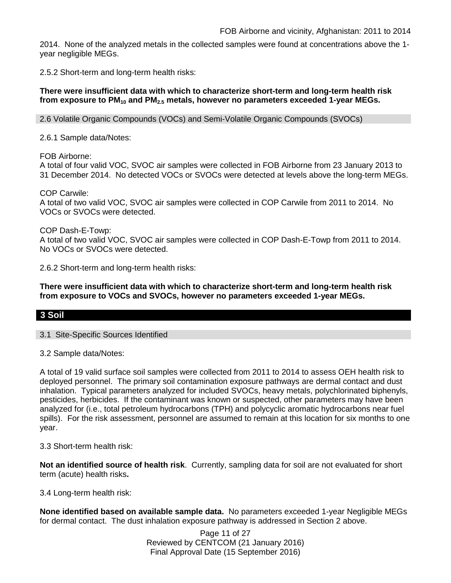2014. None of the analyzed metals in the collected samples were found at concentrations above the 1 year negligible MEGs.

2.5.2 Short-term and long-term health risks:

# **There were insufficient data with which to characterize short-term and long-term health risk from exposure to PM10 and PM2.5 metals, however no parameters exceeded 1-year MEGs.**

2.6 Volatile Organic Compounds (VOCs) and Semi-Volatile Organic Compounds (SVOCs)

2.6.1 Sample data/Notes:

FOB Airborne:

A total of four valid VOC, SVOC air samples were collected in FOB Airborne from 23 January 2013 to 31 December 2014. No detected VOCs or SVOCs were detected at levels above the long-term MEGs.

COP Carwile:

A total of two valid VOC, SVOC air samples were collected in COP Carwile from 2011 to 2014. No VOCs or SVOCs were detected.

COP Dash-E-Towp:

A total of two valid VOC, SVOC air samples were collected in COP Dash-E-Towp from 2011 to 2014. No VOCs or SVOCs were detected.

2.6.2 Short-term and long-term health risks:

**There were insufficient data with which to characterize short-term and long-term health risk from exposure to VOCs and SVOCs, however no parameters exceeded 1-year MEGs.**

# **3 Soil**

## 3.1 Site-Specific Sources Identified

3.2 Sample data/Notes:

A total of 19 valid surface soil samples were collected from 2011 to 2014 to assess OEH health risk to deployed personnel. The primary soil contamination exposure pathways are dermal contact and dust inhalation. Typical parameters analyzed for included SVOCs, heavy metals, polychlorinated biphenyls, pesticides, herbicides. If the contaminant was known or suspected, other parameters may have been analyzed for (i.e., total petroleum hydrocarbons (TPH) and polycyclic aromatic hydrocarbons near fuel spills). For the risk assessment, personnel are assumed to remain at this location for six months to one year.

3.3 Short-term health risk:

**Not an identified source of health risk**. Currently, sampling data for soil are not evaluated for short term (acute) health risks**.**

3.4 Long-term health risk:

**None identified based on available sample data.** No parameters exceeded 1-year Negligible MEGs for dermal contact. The dust inhalation exposure pathway is addressed in Section 2 above.

> Page 11 of 27 Reviewed by CENTCOM (21 January 2016) Final Approval Date (15 September 2016)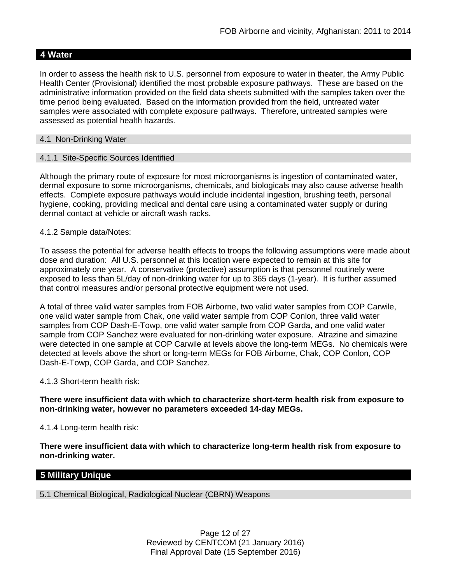# **4 Water**

In order to assess the health risk to U.S. personnel from exposure to water in theater, the Army Public Health Center (Provisional) identified the most probable exposure pathways. These are based on the administrative information provided on the field data sheets submitted with the samples taken over the time period being evaluated. Based on the information provided from the field, untreated water samples were associated with complete exposure pathways. Therefore, untreated samples were assessed as potential health hazards.

# 4.1 Non-Drinking Water

## 4.1.1 Site-Specific Sources Identified

Although the primary route of exposure for most microorganisms is ingestion of contaminated water, dermal exposure to some microorganisms, chemicals, and biologicals may also cause adverse health effects. Complete exposure pathways would include incidental ingestion, brushing teeth, personal hygiene, cooking, providing medical and dental care using a contaminated water supply or during dermal contact at vehicle or aircraft wash racks.

# 4.1.2 Sample data/Notes:

To assess the potential for adverse health effects to troops the following assumptions were made about dose and duration: All U.S. personnel at this location were expected to remain at this site for approximately one year. A conservative (protective) assumption is that personnel routinely were exposed to less than 5L/day of non-drinking water for up to 365 days (1-year). It is further assumed that control measures and/or personal protective equipment were not used.

A total of three valid water samples from FOB Airborne, two valid water samples from COP Carwile, one valid water sample from Chak, one valid water sample from COP Conlon, three valid water samples from COP Dash-E-Towp, one valid water sample from COP Garda, and one valid water sample from COP Sanchez were evaluated for non-drinking water exposure. Atrazine and simazine were detected in one sample at COP Carwile at levels above the long-term MEGs. No chemicals were detected at levels above the short or long-term MEGs for FOB Airborne, Chak, COP Conlon, COP Dash-E-Towp, COP Garda, and COP Sanchez.

## 4.1.3 Short-term health risk:

**There were insufficient data with which to characterize short-term health risk from exposure to non-drinking water, however no parameters exceeded 14-day MEGs.**

4.1.4 Long-term health risk:

**There were insufficient data with which to characterize long-term health risk from exposure to non-drinking water.**

# **5 Military Unique**

5.1 Chemical Biological, Radiological Nuclear (CBRN) Weapons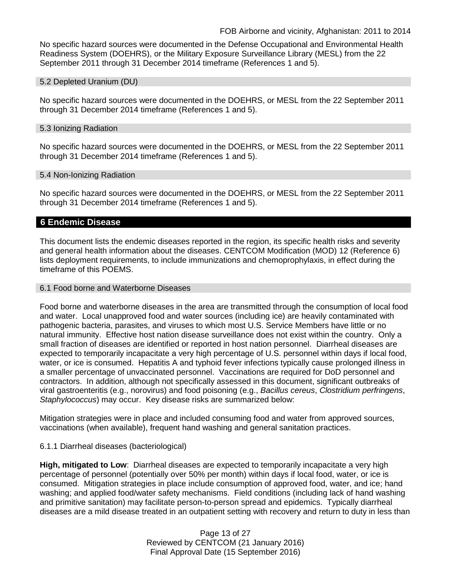No specific hazard sources were documented in the Defense Occupational and Environmental Health Readiness System (DOEHRS), or the Military Exposure Surveillance Library (MESL) from the 22 September 2011 through 31 December 2014 timeframe (References 1 and 5).

#### 5.2 Depleted Uranium (DU)

No specific hazard sources were documented in the DOEHRS, or MESL from the 22 September 2011 through 31 December 2014 timeframe (References 1 and 5).

#### 5.3 Ionizing Radiation

No specific hazard sources were documented in the DOEHRS, or MESL from the 22 September 2011 through 31 December 2014 timeframe (References 1 and 5).

#### 5.4 Non-Ionizing Radiation

No specific hazard sources were documented in the DOEHRS, or MESL from the 22 September 2011 through 31 December 2014 timeframe (References 1 and 5).

# **6 Endemic Disease**

This document lists the endemic diseases reported in the region, its specific health risks and severity and general health information about the diseases. CENTCOM Modification (MOD) 12 (Reference 6) lists deployment requirements, to include immunizations and chemoprophylaxis, in effect during the timeframe of this POEMS.

## 6.1 Food borne and Waterborne Diseases

Food borne and waterborne diseases in the area are transmitted through the consumption of local food and water. Local unapproved food and water sources (including ice) are heavily contaminated with pathogenic bacteria, parasites, and viruses to which most U.S. Service Members have little or no natural immunity. Effective host nation disease surveillance does not exist within the country. Only a small fraction of diseases are identified or reported in host nation personnel. Diarrheal diseases are expected to temporarily incapacitate a very high percentage of U.S. personnel within days if local food, water, or ice is consumed. Hepatitis A and typhoid fever infections typically cause prolonged illness in a smaller percentage of unvaccinated personnel. Vaccinations are required for DoD personnel and contractors. In addition, although not specifically assessed in this document, significant outbreaks of viral gastroenteritis (e.g., norovirus) and food poisoning (e.g., *Bacillus cereus*, *Clostridium perfringens*, *Staphylococcus*) may occur. Key disease risks are summarized below:

Mitigation strategies were in place and included consuming food and water from approved sources, vaccinations (when available), frequent hand washing and general sanitation practices.

## 6.1.1 Diarrheal diseases (bacteriological)

**High, mitigated to Low**: Diarrheal diseases are expected to temporarily incapacitate a very high percentage of personnel (potentially over 50% per month) within days if local food, water, or ice is consumed. Mitigation strategies in place include consumption of approved food, water, and ice; hand washing; and applied food/water safety mechanisms. Field conditions (including lack of hand washing and primitive sanitation) may facilitate person-to-person spread and epidemics. Typically diarrheal diseases are a mild disease treated in an outpatient setting with recovery and return to duty in less than

> Page 13 of 27 Reviewed by CENTCOM (21 January 2016) Final Approval Date (15 September 2016)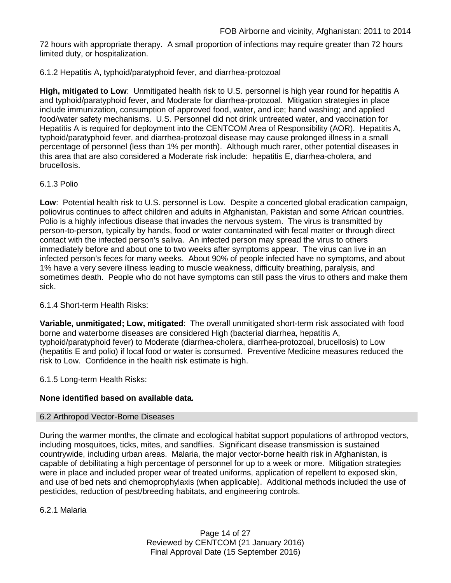72 hours with appropriate therapy. A small proportion of infections may require greater than 72 hours limited duty, or hospitalization.

# 6.1.2 Hepatitis A, typhoid/paratyphoid fever, and diarrhea-protozoal

**High, mitigated to Low**: Unmitigated health risk to U.S. personnel is high year round for hepatitis A and typhoid/paratyphoid fever, and Moderate for diarrhea-protozoal. Mitigation strategies in place include immunization, consumption of approved food, water, and ice; hand washing; and applied food/water safety mechanisms. U.S. Personnel did not drink untreated water, and vaccination for Hepatitis A is required for deployment into the CENTCOM Area of Responsibility (AOR). Hepatitis A, typhoid/paratyphoid fever, and diarrhea-protozoal disease may cause prolonged illness in a small percentage of personnel (less than 1% per month). Although much rarer, other potential diseases in this area that are also considered a Moderate risk include: hepatitis E, diarrhea-cholera, and brucellosis.

# 6.1.3 Polio

**Low**: Potential health risk to U.S. personnel is Low. Despite a concerted global eradication campaign, poliovirus continues to affect children and adults in Afghanistan, Pakistan and some African countries. Polio is a highly infectious disease that invades the nervous system. The virus is transmitted by person-to-person, typically by hands, food or water contaminated with fecal matter or through direct contact with the infected person's saliva. An infected person may spread the virus to others immediately before and about one to two weeks after symptoms appear. The virus can live in an infected person's feces for many weeks. About 90% of people infected have no symptoms, and about 1% have a very severe illness leading to muscle weakness, difficulty breathing, paralysis, and sometimes death. People who do not have symptoms can still pass the virus to others and make them sick.

# 6.1.4 Short-term Health Risks:

**Variable, unmitigated; Low, mitigated**: The overall unmitigated short-term risk associated with food borne and waterborne diseases are considered High (bacterial diarrhea, hepatitis A, typhoid/paratyphoid fever) to Moderate (diarrhea-cholera, diarrhea-protozoal, brucellosis) to Low (hepatitis E and polio) if local food or water is consumed. Preventive Medicine measures reduced the risk to Low. Confidence in the health risk estimate is high.

# 6.1.5 Long-term Health Risks:

# **None identified based on available data.**

# 6.2 Arthropod Vector-Borne Diseases

During the warmer months, the climate and ecological habitat support populations of arthropod vectors, including mosquitoes, ticks, mites, and sandflies. Significant disease transmission is sustained countrywide, including urban areas. Malaria, the major vector-borne health risk in Afghanistan, is capable of debilitating a high percentage of personnel for up to a week or more. Mitigation strategies were in place and included proper wear of treated uniforms, application of repellent to exposed skin, and use of bed nets and chemoprophylaxis (when applicable). Additional methods included the use of pesticides, reduction of pest/breeding habitats, and engineering controls.

6.2.1 Malaria

Page 14 of 27 Reviewed by CENTCOM (21 January 2016) Final Approval Date (15 September 2016)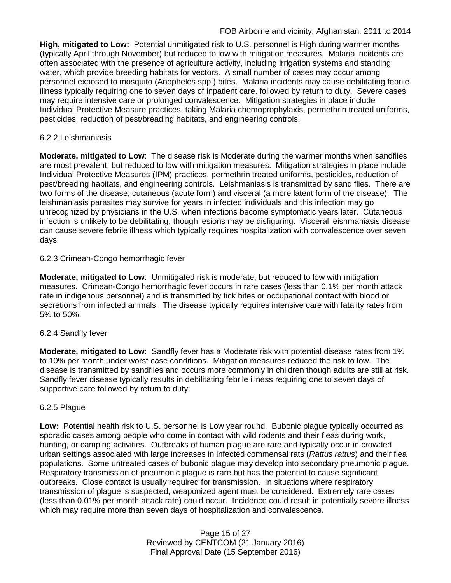**High, mitigated to Low:** Potential unmitigated risk to U.S. personnel is High during warmer months (typically April through November) but reduced to low with mitigation measures. Malaria incidents are often associated with the presence of agriculture activity, including irrigation systems and standing water, which provide breeding habitats for vectors. A small number of cases may occur among personnel exposed to mosquito (Anopheles spp.) bites. Malaria incidents may cause debilitating febrile illness typically requiring one to seven days of inpatient care, followed by return to duty. Severe cases may require intensive care or prolonged convalescence. Mitigation strategies in place include Individual Protective Measure practices, taking Malaria chemoprophylaxis, permethrin treated uniforms, pesticides, reduction of pest/breading habitats, and engineering controls.

# 6.2.2 Leishmaniasis

**Moderate, mitigated to Low**: The disease risk is Moderate during the warmer months when sandflies are most prevalent, but reduced to low with mitigation measures. Mitigation strategies in place include Individual Protective Measures (IPM) practices, permethrin treated uniforms, pesticides, reduction of pest/breeding habitats, and engineering controls. Leishmaniasis is transmitted by sand flies. There are two forms of the disease; cutaneous (acute form) and visceral (a more latent form of the disease). The leishmaniasis parasites may survive for years in infected individuals and this infection may go unrecognized by physicians in the U.S. when infections become symptomatic years later. Cutaneous infection is unlikely to be debilitating, though lesions may be disfiguring. Visceral leishmaniasis disease can cause severe febrile illness which typically requires hospitalization with convalescence over seven days.

# 6.2.3 Crimean-Congo hemorrhagic fever

**Moderate, mitigated to Low**: Unmitigated risk is moderate, but reduced to low with mitigation measures. Crimean-Congo hemorrhagic fever occurs in rare cases (less than 0.1% per month attack rate in indigenous personnel) and is transmitted by tick bites or occupational contact with blood or secretions from infected animals. The disease typically requires intensive care with fatality rates from 5% to 50%.

## 6.2.4 Sandfly fever

**Moderate, mitigated to Low**: Sandfly fever has a Moderate risk with potential disease rates from 1% to 10% per month under worst case conditions. Mitigation measures reduced the risk to low. The disease is transmitted by sandflies and occurs more commonly in children though adults are still at risk. Sandfly fever disease typically results in debilitating febrile illness requiring one to seven days of supportive care followed by return to duty.

## 6.2.5 Plague

**Low:** Potential health risk to U.S. personnel is Low year round. Bubonic plague typically occurred as sporadic cases among people who come in contact with wild rodents and their fleas during work, hunting, or camping activities. Outbreaks of human plague are rare and typically occur in crowded urban settings associated with large increases in infected commensal rats (*Rattus rattus*) and their flea populations. Some untreated cases of bubonic plague may develop into secondary pneumonic plague. Respiratory transmission of pneumonic plague is rare but has the potential to cause significant outbreaks. Close contact is usually required for transmission. In situations where respiratory transmission of plague is suspected, weaponized agent must be considered. Extremely rare cases (less than 0.01% per month attack rate) could occur. Incidence could result in potentially severe illness which may require more than seven days of hospitalization and convalescence.

> Page 15 of 27 Reviewed by CENTCOM (21 January 2016) Final Approval Date (15 September 2016)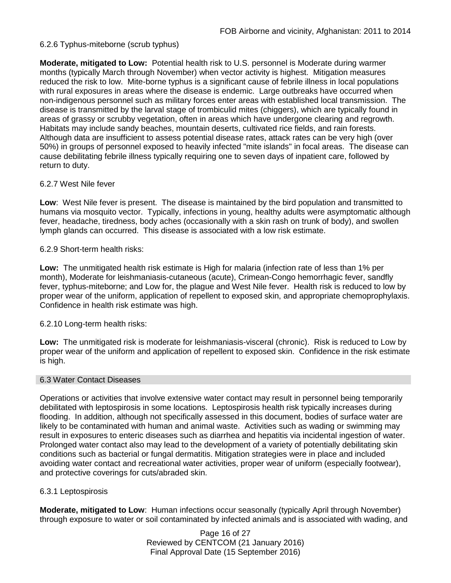# 6.2.6 Typhus-miteborne (scrub typhus)

**Moderate, mitigated to Low:** Potential health risk to U.S. personnel is Moderate during warmer months (typically March through November) when vector activity is highest. Mitigation measures reduced the risk to low. Mite-borne typhus is a significant cause of febrile illness in local populations with rural exposures in areas where the disease is endemic. Large outbreaks have occurred when non-indigenous personnel such as military forces enter areas with established local transmission. The disease is transmitted by the larval stage of trombiculid mites (chiggers), which are typically found in areas of grassy or scrubby vegetation, often in areas which have undergone clearing and regrowth. Habitats may include sandy beaches, mountain deserts, cultivated rice fields, and rain forests. Although data are insufficient to assess potential disease rates, attack rates can be very high (over 50%) in groups of personnel exposed to heavily infected "mite islands" in focal areas. The disease can cause debilitating febrile illness typically requiring one to seven days of inpatient care, followed by return to duty.

## 6.2.7 West Nile fever

**Low**: West Nile fever is present. The disease is maintained by the bird population and transmitted to humans via mosquito vector. Typically, infections in young, healthy adults were asymptomatic although fever, headache, tiredness, body aches (occasionally with a skin rash on trunk of body), and swollen lymph glands can occurred. This disease is associated with a low risk estimate.

# 6.2.9 Short-term health risks:

**Low:** The unmitigated health risk estimate is High for malaria (infection rate of less than 1% per month), Moderate for leishmaniasis-cutaneous (acute), Crimean-Congo hemorrhagic fever, sandfly fever, typhus-miteborne; and Low for, the plague and West Nile fever. Health risk is reduced to low by proper wear of the uniform, application of repellent to exposed skin, and appropriate chemoprophylaxis. Confidence in health risk estimate was high.

# 6.2.10 Long-term health risks:

**Low:** The unmitigated risk is moderate for leishmaniasis-visceral (chronic). Risk is reduced to Low by proper wear of the uniform and application of repellent to exposed skin. Confidence in the risk estimate is high.

# 6.3 Water Contact Diseases

Operations or activities that involve extensive water contact may result in personnel being temporarily debilitated with leptospirosis in some locations. Leptospirosis health risk typically increases during flooding. In addition, although not specifically assessed in this document, bodies of surface water are likely to be contaminated with human and animal waste. Activities such as wading or swimming may result in exposures to enteric diseases such as diarrhea and hepatitis via incidental ingestion of water. Prolonged water contact also may lead to the development of a variety of potentially debilitating skin conditions such as bacterial or fungal dermatitis. Mitigation strategies were in place and included avoiding water contact and recreational water activities, proper wear of uniform (especially footwear), and protective coverings for cuts/abraded skin.

## 6.3.1 Leptospirosis

**Moderate, mitigated to Low**: Human infections occur seasonally (typically April through November) through exposure to water or soil contaminated by infected animals and is associated with wading, and

> Page 16 of 27 Reviewed by CENTCOM (21 January 2016) Final Approval Date (15 September 2016)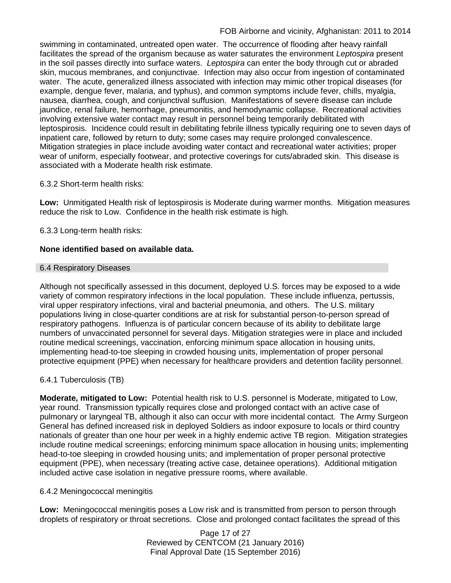swimming in contaminated, untreated open water. The occurrence of flooding after heavy rainfall facilitates the spread of the organism because as water saturates the environment *Leptospira* present in the soil passes directly into surface waters. *Leptospira* can enter the body through cut or abraded skin, mucous membranes, and conjunctivae. Infection may also occur from ingestion of contaminated water. The acute, generalized illness associated with infection may mimic other tropical diseases (for example, dengue fever, malaria, and typhus), and common symptoms include fever, chills, myalgia, nausea, diarrhea, cough, and conjunctival suffusion. Manifestations of severe disease can include jaundice, renal failure, hemorrhage, pneumonitis, and hemodynamic collapse. Recreational activities involving extensive water contact may result in personnel being temporarily debilitated with leptospirosis. Incidence could result in debilitating febrile illness typically requiring one to seven days of inpatient care, followed by return to duty; some cases may require prolonged convalescence. Mitigation strategies in place include avoiding water contact and recreational water activities; proper wear of uniform, especially footwear, and protective coverings for cuts/abraded skin. This disease is associated with a Moderate health risk estimate.

# 6.3.2 Short-term health risks:

**Low:** Unmitigated Health risk of leptospirosis is Moderate during warmer months. Mitigation measures reduce the risk to Low. Confidence in the health risk estimate is high.

# 6.3.3 Long-term health risks:

# **None identified based on available data.**

#### 6.4 Respiratory Diseases

Although not specifically assessed in this document, deployed U.S. forces may be exposed to a wide variety of common respiratory infections in the local population. These include influenza, pertussis, viral upper respiratory infections, viral and bacterial pneumonia, and others. The U.S. military populations living in close-quarter conditions are at risk for substantial person-to-person spread of respiratory pathogens. Influenza is of particular concern because of its ability to debilitate large numbers of unvaccinated personnel for several days. Mitigation strategies were in place and included routine medical screenings, vaccination, enforcing minimum space allocation in housing units, implementing head-to-toe sleeping in crowded housing units, implementation of proper personal protective equipment (PPE) when necessary for healthcare providers and detention facility personnel.

# 6.4.1 Tuberculosis (TB)

**Moderate, mitigated to Low:** Potential health risk to U.S. personnel is Moderate, mitigated to Low, year round. Transmission typically requires close and prolonged contact with an active case of pulmonary or laryngeal TB, although it also can occur with more incidental contact. The Army Surgeon General has defined increased risk in deployed Soldiers as indoor exposure to locals or third country nationals of greater than one hour per week in a highly endemic active TB region. Mitigation strategies include routine medical screenings; enforcing minimum space allocation in housing units; implementing head-to-toe sleeping in crowded housing units; and implementation of proper personal protective equipment (PPE), when necessary (treating active case, detainee operations). Additional mitigation included active case isolation in negative pressure rooms, where available.

## 6.4.2 Meningococcal meningitis

**Low:** Meningococcal meningitis poses a Low risk and is transmitted from person to person through droplets of respiratory or throat secretions. Close and prolonged contact facilitates the spread of this

> Page 17 of 27 Reviewed by CENTCOM (21 January 2016) Final Approval Date (15 September 2016)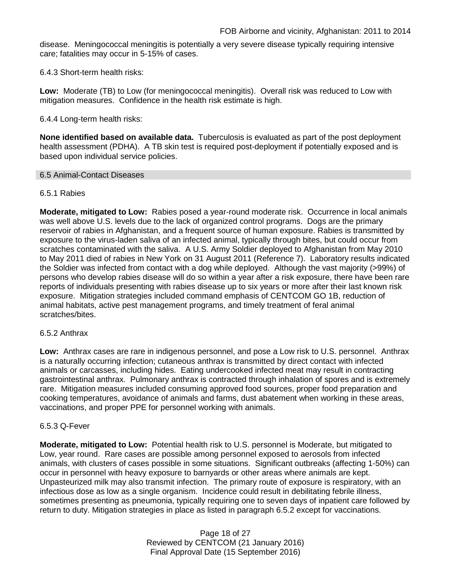disease. Meningococcal meningitis is potentially a very severe disease typically requiring intensive care; fatalities may occur in 5-15% of cases.

6.4.3 Short-term health risks:

**Low:** Moderate (TB) to Low (for meningococcal meningitis). Overall risk was reduced to Low with mitigation measures. Confidence in the health risk estimate is high.

6.4.4 Long-term health risks:

**None identified based on available data.** Tuberculosis is evaluated as part of the post deployment health assessment (PDHA). A TB skin test is required post-deployment if potentially exposed and is based upon individual service policies.

## 6.5 Animal-Contact Diseases

# 6.5.1 Rabies

**Moderate, mitigated to Low:** Rabies posed a year-round moderate risk. Occurrence in local animals was well above U.S. levels due to the lack of organized control programs. Dogs are the primary reservoir of rabies in Afghanistan, and a frequent source of human exposure. Rabies is transmitted by exposure to the virus-laden saliva of an infected animal, typically through bites, but could occur from scratches contaminated with the saliva. A U.S. Army Soldier deployed to Afghanistan from May 2010 to May 2011 died of rabies in New York on 31 August 2011 (Reference 7). Laboratory results indicated the Soldier was infected from contact with a dog while deployed. Although the vast majority (>99%) of persons who develop rabies disease will do so within a year after a risk exposure, there have been rare reports of individuals presenting with rabies disease up to six years or more after their last known risk exposure. Mitigation strategies included command emphasis of CENTCOM GO 1B, reduction of animal habitats, active pest management programs, and timely treatment of feral animal scratches/bites.

## 6.5.2 Anthrax

**Low:** Anthrax cases are rare in indigenous personnel, and pose a Low risk to U.S. personnel. Anthrax is a naturally occurring infection; cutaneous anthrax is transmitted by direct contact with infected animals or carcasses, including hides. Eating undercooked infected meat may result in contracting gastrointestinal anthrax. Pulmonary anthrax is contracted through inhalation of spores and is extremely rare. Mitigation measures included consuming approved food sources, proper food preparation and cooking temperatures, avoidance of animals and farms, dust abatement when working in these areas, vaccinations, and proper PPE for personnel working with animals.

## 6.5.3 Q-Fever

**Moderate, mitigated to Low:** Potential health risk to U.S. personnel is Moderate, but mitigated to Low, year round. Rare cases are possible among personnel exposed to aerosols from infected animals, with clusters of cases possible in some situations. Significant outbreaks (affecting 1-50%) can occur in personnel with heavy exposure to barnyards or other areas where animals are kept. Unpasteurized milk may also transmit infection. The primary route of exposure is respiratory, with an infectious dose as low as a single organism. Incidence could result in debilitating febrile illness, sometimes presenting as pneumonia, typically requiring one to seven days of inpatient care followed by return to duty. Mitigation strategies in place as listed in paragraph 6.5.2 except for vaccinations.

> Page 18 of 27 Reviewed by CENTCOM (21 January 2016) Final Approval Date (15 September 2016)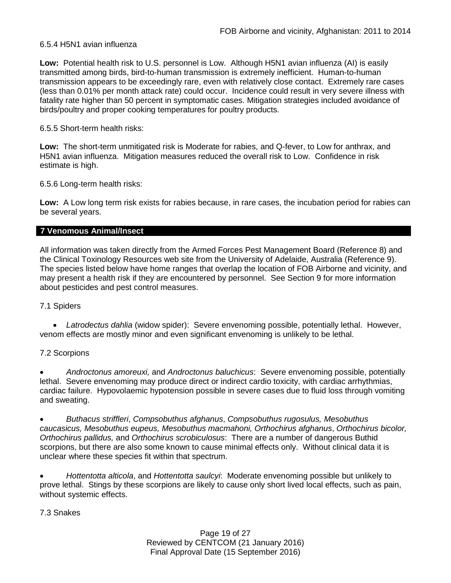# 6.5.4 H5N1 avian influenza

**Low:** Potential health risk to U.S. personnel is Low. Although H5N1 avian influenza (AI) is easily transmitted among birds, bird-to-human transmission is extremely inefficient. Human-to-human transmission appears to be exceedingly rare, even with relatively close contact. Extremely rare cases (less than 0.01% per month attack rate) could occur. Incidence could result in very severe illness with fatality rate higher than 50 percent in symptomatic cases. Mitigation strategies included avoidance of birds/poultry and proper cooking temperatures for poultry products.

# 6.5.5 Short-term health risks:

**Low:** The short-term unmitigated risk is Moderate for rabies, and Q-fever, to Low for anthrax, and H5N1 avian influenza. Mitigation measures reduced the overall risk to Low.Confidence in risk estimate is high.

6.5.6 Long-term health risks:

**Low:** A Low long term risk exists for rabies because, in rare cases, the incubation period for rabies can be several years.

# **7 Venomous Animal/Insect**

All information was taken directly from the Armed Forces Pest Management Board (Reference 8) and the Clinical Toxinology Resources web site from the University of Adelaide, Australia (Reference 9). The species listed below have home ranges that overlap the location of FOB Airborne and vicinity, and may present a health risk if they are encountered by personnel. See Section 9 for more information about pesticides and pest control measures.

# 7.1 Spiders

• *Latrodectus dahlia* (widow spider): Severe envenoming possible, potentially lethal. However, venom effects are mostly minor and even significant envenoming is unlikely to be lethal.

# 7.2 Scorpions

• *Androctonus amoreuxi,* and *Androctonus baluchicus*: Severe envenoming possible, potentially lethal. Severe envenoming may produce direct or indirect cardio toxicity, with cardiac arrhythmias, cardiac failure. Hypovolaemic hypotension possible in severe cases due to fluid loss through vomiting and sweating.

• *Buthacus striffleri*, *Compsobuthus afghanus*, *Compsobuthus rugosulus, Mesobuthus caucasicus, Mesobuthus eupeus, Mesobuthus macmahoni, Orthochirus afghanus*, *Orthochirus bicolor, Orthochirus pallidus,* and *Orthochirus scrobiculosus*: There are a number of dangerous Buthid scorpions, but there are also some known to cause minimal effects only. Without clinical data it is unclear where these species fit within that spectrum.

• *Hottentotta alticola*, and *Hottentotta saulcyi*: Moderate envenoming possible but unlikely to prove lethal. Stings by these scorpions are likely to cause only short lived local effects, such as pain, without systemic effects.

## 7.3 Snakes

Page 19 of 27 Reviewed by CENTCOM (21 January 2016) Final Approval Date (15 September 2016)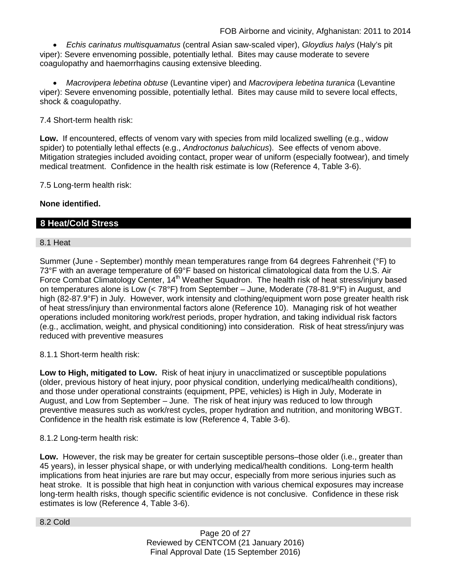• *Echis carinatus multisquamatus* (central Asian saw-scaled viper), *Gloydius halys* (Haly's pit viper): Severe envenoming possible, potentially lethal. Bites may cause moderate to severe coagulopathy and haemorrhagins causing extensive bleeding.

• *Macrovipera lebetina obtuse* (Levantine viper) and *Macrovipera lebetina turanica* (Levantine viper): Severe envenoming possible, potentially lethal. Bites may cause mild to severe local effects, shock & coagulopathy.

7.4 Short-term health risk:

**Low.** If encountered, effects of venom vary with species from mild localized swelling (e.g., widow spider) to potentially lethal effects (e.g., *Androctonus baluchicus*). See effects of venom above. Mitigation strategies included avoiding contact, proper wear of uniform (especially footwear), and timely medical treatment. Confidence in the health risk estimate is low (Reference 4, Table 3-6).

7.5 Long-term health risk:

# **None identified.**

# **8 Heat/Cold Stress**

## 8.1 Heat

Summer (June - September) monthly mean temperatures range from 64 degrees Fahrenheit (°F) to 73°F with an average temperature of 69°F based on historical climatological data from the U.S. Air Force Combat Climatology Center, 14<sup>th</sup> Weather Squadron. The health risk of heat stress/injury based on temperatures alone is Low (< 78°F) from September – June, Moderate (78-81.9°F) in August, and high (82-87.9°F) in July. However, work intensity and clothing/equipment worn pose greater health risk of heat stress/injury than environmental factors alone (Reference 10). Managing risk of hot weather operations included monitoring work/rest periods, proper hydration, and taking individual risk factors (e.g., acclimation, weight, and physical conditioning) into consideration. Risk of heat stress/injury was reduced with preventive measures

8.1.1 Short-term health risk:

**Low to High, mitigated to Low.** Risk of heat injury in unacclimatized or susceptible populations (older, previous history of heat injury, poor physical condition, underlying medical/health conditions), and those under operational constraints (equipment, PPE, vehicles) is High in July, Moderate in August, and Low from September – June. The risk of heat injury was reduced to low through preventive measures such as work/rest cycles, proper hydration and nutrition, and monitoring WBGT. Confidence in the health risk estimate is low (Reference 4, Table 3-6).

## 8.1.2 Long-term health risk:

**Low.** However, the risk may be greater for certain susceptible persons–those older (i.e., greater than 45 years), in lesser physical shape, or with underlying medical/health conditions. Long-term health implications from heat injuries are rare but may occur, especially from more serious injuries such as heat stroke. It is possible that high heat in conjunction with various chemical exposures may increase long-term health risks, though specific scientific evidence is not conclusive. Confidence in these risk estimates is low (Reference 4, Table 3-6).

8.2 Cold

Page 20 of 27 Reviewed by CENTCOM (21 January 2016) Final Approval Date (15 September 2016)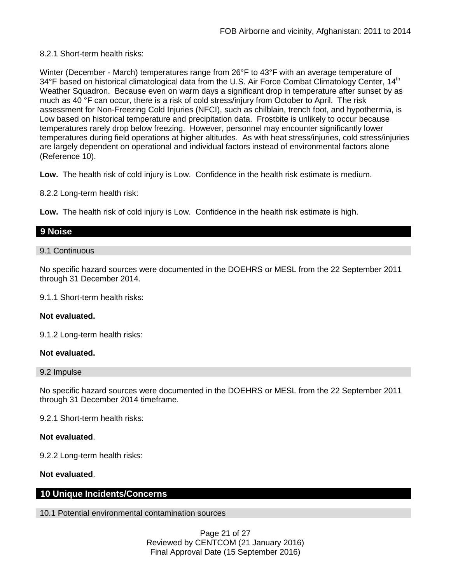# 8.2.1 Short-term health risks:

Winter (December - March) temperatures range from 26°F to 43°F with an average temperature of 34°F based on historical climatological data from the U.S. Air Force Combat Climatology Center, 14<sup>th</sup> Weather Squadron. Because even on warm days a significant drop in temperature after sunset by as much as 40 °F can occur, there is a risk of cold stress/injury from October to April. The risk assessment for Non-Freezing Cold Injuries (NFCI), such as chilblain, trench foot, and hypothermia, is Low based on historical temperature and precipitation data. Frostbite is unlikely to occur because temperatures rarely drop below freezing. However, personnel may encounter significantly lower temperatures during field operations at higher altitudes. As with heat stress/injuries, cold stress/injuries are largely dependent on operational and individual factors instead of environmental factors alone (Reference 10).

**Low.** The health risk of cold injury is Low. Confidence in the health risk estimate is medium.

8.2.2 Long-term health risk:

**Low.** The health risk of cold injury is Low. Confidence in the health risk estimate is high.

# **9 Noise**

## 9.1 Continuous

No specific hazard sources were documented in the DOEHRS or MESL from the 22 September 2011 through 31 December 2014.

9.1.1 Short-term health risks:

## **Not evaluated.**

9.1.2 Long-term health risks:

## **Not evaluated.**

## 9.2 Impulse

No specific hazard sources were documented in the DOEHRS or MESL from the 22 September 2011 through 31 December 2014 timeframe.

9.2.1 Short-term health risks:

## **Not evaluated**.

9.2.2 Long-term health risks:

# **Not evaluated**.

# **10 Unique Incidents/Concerns**

10.1 Potential environmental contamination sources

Page 21 of 27 Reviewed by CENTCOM (21 January 2016) Final Approval Date (15 September 2016)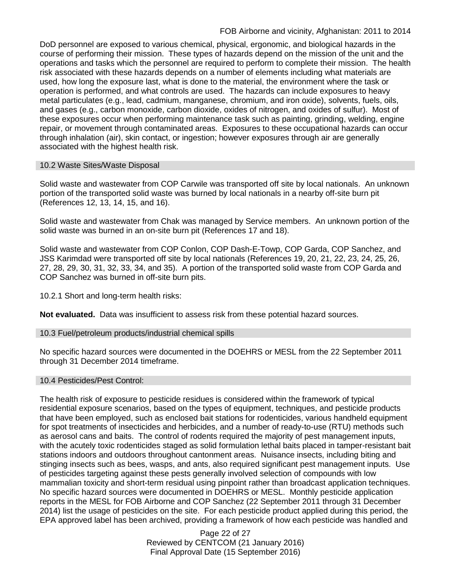DoD personnel are exposed to various chemical, physical, ergonomic, and biological hazards in the course of performing their mission. These types of hazards depend on the mission of the unit and the operations and tasks which the personnel are required to perform to complete their mission. The health risk associated with these hazards depends on a number of elements including what materials are used, how long the exposure last, what is done to the material, the environment where the task or operation is performed, and what controls are used. The hazards can include exposures to heavy metal particulates (e.g., lead, cadmium, manganese, chromium, and iron oxide), solvents, fuels, oils, and gases (e.g., carbon monoxide, carbon dioxide, oxides of nitrogen, and oxides of sulfur). Most of these exposures occur when performing maintenance task such as painting, grinding, welding, engine repair, or movement through contaminated areas. Exposures to these occupational hazards can occur through inhalation (air), skin contact, or ingestion; however exposures through air are generally associated with the highest health risk.

# 10.2 Waste Sites/Waste Disposal

Solid waste and wastewater from COP Carwile was transported off site by local nationals. An unknown portion of the transported solid waste was burned by local nationals in a nearby off-site burn pit (References 12, 13, 14, 15, and 16).

Solid waste and wastewater from Chak was managed by Service members. An unknown portion of the solid waste was burned in an on-site burn pit (References 17 and 18).

Solid waste and wastewater from COP Conlon, COP Dash-E-Towp, COP Garda, COP Sanchez, and JSS Karimdad were transported off site by local nationals (References 19, 20, 21, 22, 23, 24, 25, 26, 27, 28, 29, 30, 31, 32, 33, 34, and 35). A portion of the transported solid waste from COP Garda and COP Sanchez was burned in off-site burn pits.

10.2.1 Short and long-term health risks:

**Not evaluated.** Data was insufficient to assess risk from these potential hazard sources.

## 10.3 Fuel/petroleum products/industrial chemical spills

No specific hazard sources were documented in the DOEHRS or MESL from the 22 September 2011 through 31 December 2014 timeframe.

# 10.4 Pesticides/Pest Control:

The health risk of exposure to pesticide residues is considered within the framework of typical residential exposure scenarios, based on the types of equipment, techniques, and pesticide products that have been employed, such as enclosed bait stations for rodenticides, various handheld equipment for spot treatments of insecticides and herbicides, and a number of ready-to-use (RTU) methods such as aerosol cans and baits. The control of rodents required the majority of pest management inputs, with the acutely toxic rodenticides staged as solid formulation lethal baits placed in tamper-resistant bait stations indoors and outdoors throughout cantonment areas. Nuisance insects, including biting and stinging insects such as bees, wasps, and ants, also required significant pest management inputs. Use of pesticides targeting against these pests generally involved selection of compounds with low mammalian toxicity and short-term residual using pinpoint rather than broadcast application techniques. No specific hazard sources were documented in DOEHRS or MESL. Monthly pesticide application reports in the MESL for FOB Airborne and COP Sanchez (22 September 2011 through 31 December 2014) list the usage of pesticides on the site. For each pesticide product applied during this period, the EPA approved label has been archived, providing a framework of how each pesticide was handled and

> Page 22 of 27 Reviewed by CENTCOM (21 January 2016) Final Approval Date (15 September 2016)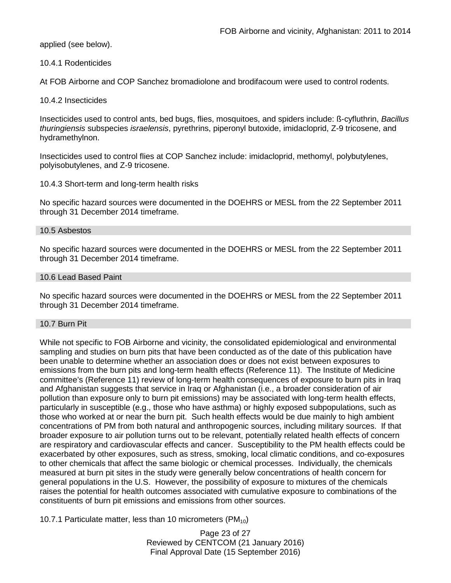applied (see below).

# 10.4.1 Rodenticides

At FOB Airborne and COP Sanchez bromadiolone and brodifacoum were used to control rodents.

## 10.4.2 Insecticides

Insecticides used to control ants, bed bugs, flies, mosquitoes, and spiders include: ß-cyfluthrin, *Bacillus thuringiensis* subspecies *israelensis*, pyrethrins, piperonyl butoxide, imidacloprid, Z-9 tricosene, and hydramethylnon.

Insecticides used to control flies at COP Sanchez include: imidacloprid, methomyl, polybutylenes, polyisobutylenes, and Z-9 tricosene.

# 10.4.3 Short-term and long-term health risks

No specific hazard sources were documented in the DOEHRS or MESL from the 22 September 2011 through 31 December 2014 timeframe.

## 10.5 Asbestos

No specific hazard sources were documented in the DOEHRS or MESL from the 22 September 2011 through 31 December 2014 timeframe.

## 10.6 Lead Based Paint

No specific hazard sources were documented in the DOEHRS or MESL from the 22 September 2011 through 31 December 2014 timeframe.

## 10.7 Burn Pit

While not specific to FOB Airborne and vicinity, the consolidated epidemiological and environmental sampling and studies on burn pits that have been conducted as of the date of this publication have been unable to determine whether an association does or does not exist between exposures to emissions from the burn pits and long-term health effects (Reference 11). The Institute of Medicine committee's (Reference 11) review of long-term health consequences of exposure to burn pits in Iraq and Afghanistan suggests that service in Iraq or Afghanistan (i.e., a broader consideration of air pollution than exposure only to burn pit emissions) may be associated with long-term health effects, particularly in susceptible (e.g., those who have asthma) or highly exposed subpopulations, such as those who worked at or near the burn pit. Such health effects would be due mainly to high ambient concentrations of PM from both natural and anthropogenic sources, including military sources. If that broader exposure to air pollution turns out to be relevant, potentially related health effects of concern are respiratory and cardiovascular effects and cancer. Susceptibility to the PM health effects could be exacerbated by other exposures, such as stress, smoking, local climatic conditions, and co-exposures to other chemicals that affect the same biologic or chemical processes. Individually, the chemicals measured at burn pit sites in the study were generally below concentrations of health concern for general populations in the U.S. However, the possibility of exposure to mixtures of the chemicals raises the potential for health outcomes associated with cumulative exposure to combinations of the constituents of burn pit emissions and emissions from other sources.

10.7.1 Particulate matter, less than 10 micrometers  $(PM_{10})$ 

Page 23 of 27 Reviewed by CENTCOM (21 January 2016) Final Approval Date (15 September 2016)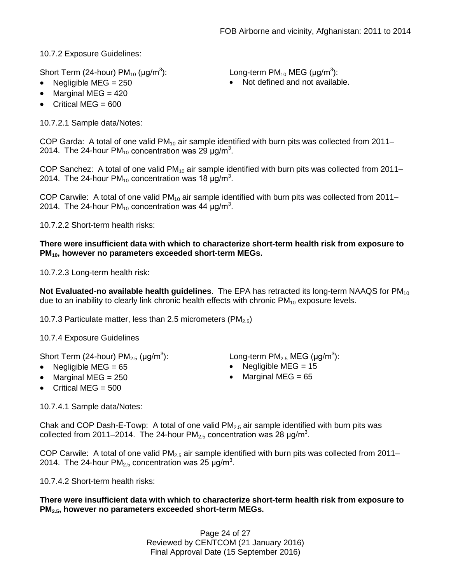10.7.2 Exposure Guidelines:

Short Term (24-hour)  $PM_{10}$  ( $\mu$ g/m<sup>3</sup>):

): Long-term PM<sub>10</sub> MEG ( $\mu$ g/m<sup>3</sup>):

- Negligible MEG = 250 **•** Not defined and not available.
- Marginal MEG  $= 420$
- Critical MEG  $= 600$

10.7.2.1 Sample data/Notes:

COP Garda: A total of one valid  $PM_{10}$  air sample identified with burn pits was collected from 2011– 2014. The 24-hour PM<sub>10</sub> concentration was 29  $\mu$ g/m<sup>3</sup>.

COP Sanchez: A total of one valid  $PM_{10}$  air sample identified with burn pits was collected from 2011– 2014. The 24-hour PM<sub>10</sub> concentration was 18  $\mu$ g/m<sup>3</sup>.

COP Carwile: A total of one valid  $PM_{10}$  air sample identified with burn pits was collected from 2011– 2014. The 24-hour PM<sub>10</sub> concentration was 44  $\mu$ g/m<sup>3</sup>.

10.7.2.2 Short-term health risks:

# **There were insufficient data with which to characterize short-term health risk from exposure to PM10, however no parameters exceeded short-term MEGs.**

10.7.2.3 Long-term health risk:

**Not Evaluated-no available health guidelines**. The EPA has retracted its long-term NAAQS for PM<sub>10</sub> due to an inability to clearly link chronic health effects with chronic  $PM_{10}$  exposure levels.

10.7.3 Particulate matter, less than 2.5 micrometers (PM $_{2.5}$ )

10.7.4 Exposure Guidelines

Short Term (24-hour)  $PM_{2.5}$  ( $\mu$ g/m<sup>3</sup>):

- 
- Marginal MEG = 250 Marginal MEG = 65
- Critical MEG  $= 500$

10.7.4.1 Sample data/Notes:

): Long-term PM<sub>2.5</sub> MEG (µg/m<sup>3</sup>):

- Negligible MEG = 65 Negligible MEG = 15
	-

Chak and COP Dash-E-Towp: A total of one valid  $PM<sub>2.5</sub>$  air sample identified with burn pits was collected from 2011–2014. The 24-hour PM<sub>2.5</sub> concentration was 28  $\mu$ g/m<sup>3</sup>.

COP Carwile: A total of one valid  $PM<sub>2.5</sub>$  air sample identified with burn pits was collected from 2011– 2014. The 24-hour PM<sub>2.5</sub> concentration was 25  $\mu$ g/m<sup>3</sup>.

10.7.4.2 Short-term health risks:

# **There were insufficient data with which to characterize short-term health risk from exposure to PM2.5, however no parameters exceeded short-term MEGs.**

Page 24 of 27 Reviewed by CENTCOM (21 January 2016) Final Approval Date (15 September 2016)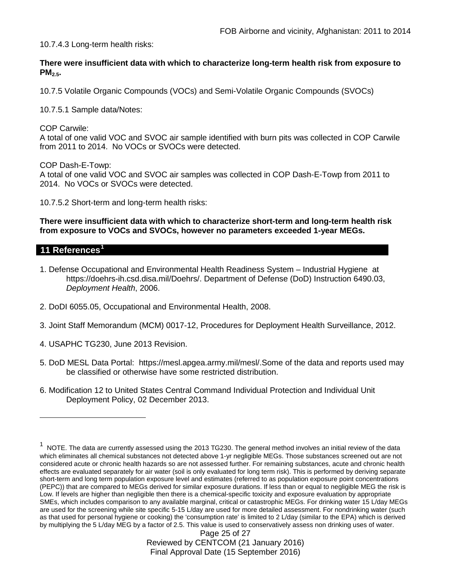10.7.4.3 Long-term health risks:

**There were insufficient data with which to characterize long-term health risk from exposure to PM2.5.**

10.7.5 Volatile Organic Compounds (VOCs) and Semi-Volatile Organic Compounds (SVOCs)

10.7.5.1 Sample data/Notes:

COP Carwile: A total of one valid VOC and SVOC air sample identified with burn pits was collected in COP Carwile from 2011 to 2014. No VOCs or SVOCs were detected.

COP Dash-E-Towp: A total of one valid VOC and SVOC air samples was collected in COP Dash-E-Towp from 2011 to 2014. No VOCs or SVOCs were detected.

10.7.5.2 Short-term and long-term health risks:

**There were insufficient data with which to characterize short-term and long-term health risk from exposure to VOCs and SVOCs, however no parameters exceeded 1-year MEGs.**

# **11 References[1](#page-24-0)**

 $\overline{a}$ 

- 1. Defense Occupational and Environmental Health Readiness System Industrial Hygiene at https://doehrs-ih.csd.disa.mil/Doehrs/. Department of Defense (DoD) Instruction 6490.03, *Deployment Health*, 2006.
- 2. DoDI 6055.05, Occupational and Environmental Health, 2008.
- 3. Joint Staff Memorandum (MCM) 0017-12, Procedures for Deployment Health Surveillance, 2012.
- 4. USAPHC TG230, June 2013 Revision.
- 5. DoD MESL Data Portal: https://mesl.apgea.army.mil/mesl/.Some of the data and reports used may be classified or otherwise have some restricted distribution.
- 6. Modification 12 to United States Central Command Individual Protection and Individual Unit Deployment Policy, 02 December 2013.

<span id="page-24-0"></span><sup>1</sup> NOTE. The data are currently assessed using the 2013 TG230. The general method involves an initial review of the data which eliminates all chemical substances not detected above 1-yr negligible MEGs. Those substances screened out are not considered acute or chronic health hazards so are not assessed further. For remaining substances, acute and chronic health effects are evaluated separately for air water (soil is only evaluated for long term risk). This is performed by deriving separate short-term and long term population exposure level and estimates (referred to as population exposure point concentrations (PEPC)) that are compared to MEGs derived for similar exposure durations. If less than or equal to negligible MEG the risk is Low. If levels are higher than negligible then there is a chemical-specific toxicity and exposure evaluation by appropriate SMEs, which includes comparison to any available marginal, critical or catastrophic MEGs. For drinking water 15 L/day MEGs are used for the screening while site specific 5-15 L/day are used for more detailed assessment. For nondrinking water (such as that used for personal hygiene or cooking) the 'consumption rate' is limited to 2 L/day (similar to the EPA) which is derived by multiplying the 5 L/day MEG by a factor of 2.5. This value is used to conservatively assess non drinking uses of water.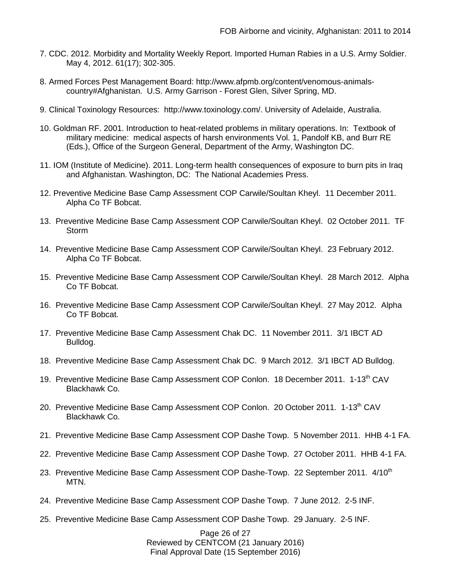- 7. CDC. 2012. Morbidity and Mortality Weekly Report. Imported Human Rabies in a U.S. Army Soldier. May 4, 2012. 61(17); 302-305.
- 8. Armed Forces Pest Management Board: http://www.afpmb.org/content/venomous-animalscountry#Afghanistan. U.S. Army Garrison - Forest Glen, Silver Spring, MD.
- 9. Clinical Toxinology Resources: http://www.toxinology.com/. University of Adelaide, Australia.
- 10. Goldman RF. 2001. Introduction to heat-related problems in military operations. In: Textbook of military medicine: medical aspects of harsh environments Vol. 1, Pandolf KB, and Burr RE (Eds.), Office of the Surgeon General, Department of the Army, Washington DC.
- 11. IOM (Institute of Medicine). 2011. Long-term health consequences of exposure to burn pits in Iraq and Afghanistan. Washington, DC: The National Academies Press.
- 12. Preventive Medicine Base Camp Assessment COP Carwile/Soultan Kheyl. 11 December 2011. Alpha Co TF Bobcat.
- 13. Preventive Medicine Base Camp Assessment COP Carwile/Soultan Kheyl. 02 October 2011. TF **Storm**
- 14. Preventive Medicine Base Camp Assessment COP Carwile/Soultan Kheyl. 23 February 2012. Alpha Co TF Bobcat.
- 15. Preventive Medicine Base Camp Assessment COP Carwile/Soultan Kheyl. 28 March 2012. Alpha Co TF Bobcat.
- 16. Preventive Medicine Base Camp Assessment COP Carwile/Soultan Kheyl. 27 May 2012. Alpha Co TF Bobcat.
- 17. Preventive Medicine Base Camp Assessment Chak DC. 11 November 2011. 3/1 IBCT AD Bulldog.
- 18. Preventive Medicine Base Camp Assessment Chak DC. 9 March 2012. 3/1 IBCT AD Bulldog.
- 19. Preventive Medicine Base Camp Assessment COP Conlon. 18 December 2011. 1-13<sup>th</sup> CAV Blackhawk Co.
- 20. Preventive Medicine Base Camp Assessment COP Conlon. 20 October 2011. 1-13<sup>th</sup> CAV Blackhawk Co.
- 21. Preventive Medicine Base Camp Assessment COP Dashe Towp. 5 November 2011. HHB 4-1 FA.
- 22. Preventive Medicine Base Camp Assessment COP Dashe Towp. 27 October 2011. HHB 4-1 FA.
- 23. Preventive Medicine Base Camp Assessment COP Dashe-Towp. 22 September 2011. 4/10<sup>th</sup> MTN.
- 24. Preventive Medicine Base Camp Assessment COP Dashe Towp. 7 June 2012. 2-5 INF.
- 25. Preventive Medicine Base Camp Assessment COP Dashe Towp. 29 January. 2-5 INF.

Page 26 of 27 Reviewed by CENTCOM (21 January 2016) Final Approval Date (15 September 2016)